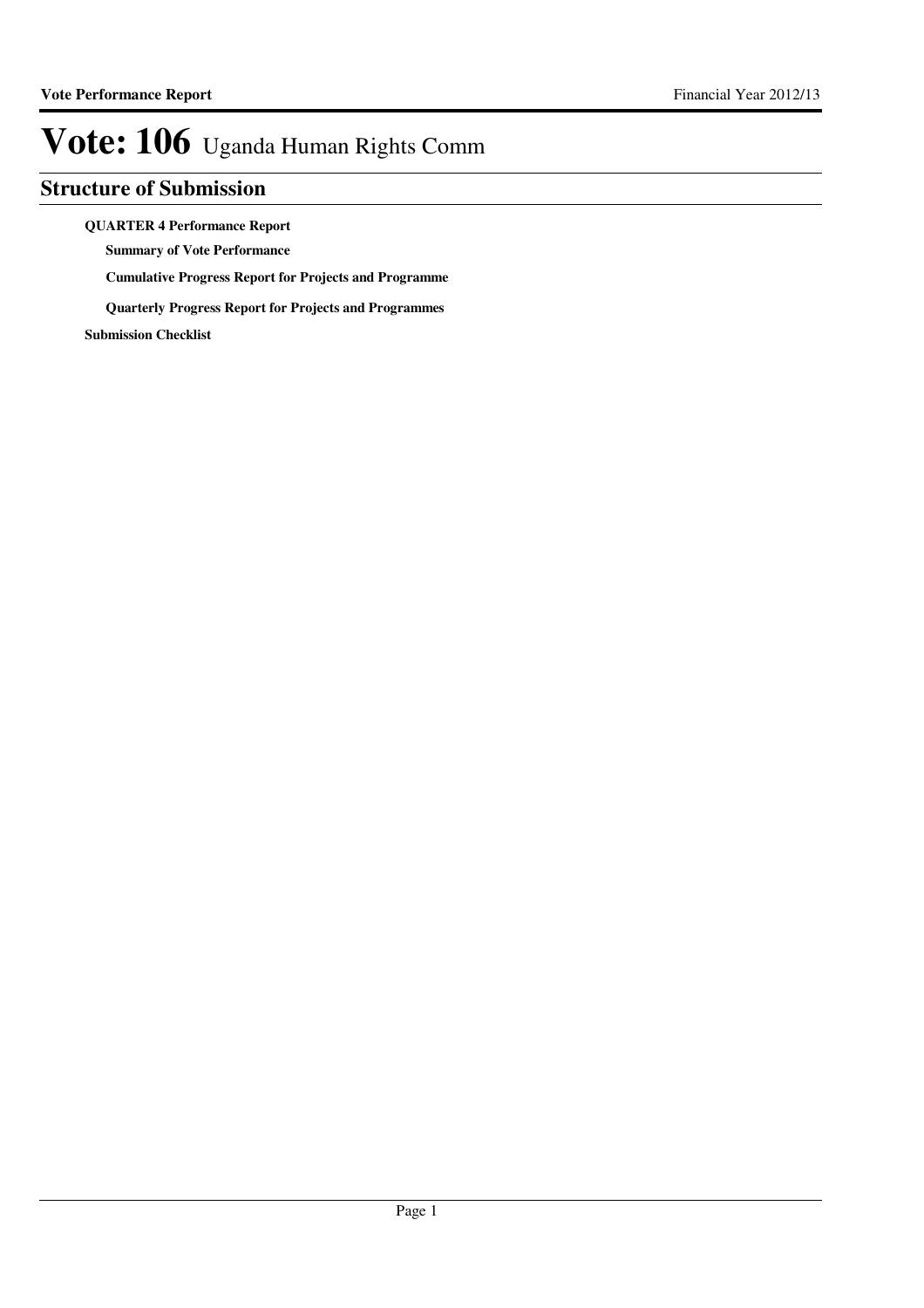### **Structure of Submission**

#### **QUARTER 4 Performance Report**

**Summary of Vote Performance**

**Cumulative Progress Report for Projects and Programme**

**Quarterly Progress Report for Projects and Programmes**

**Submission Checklist**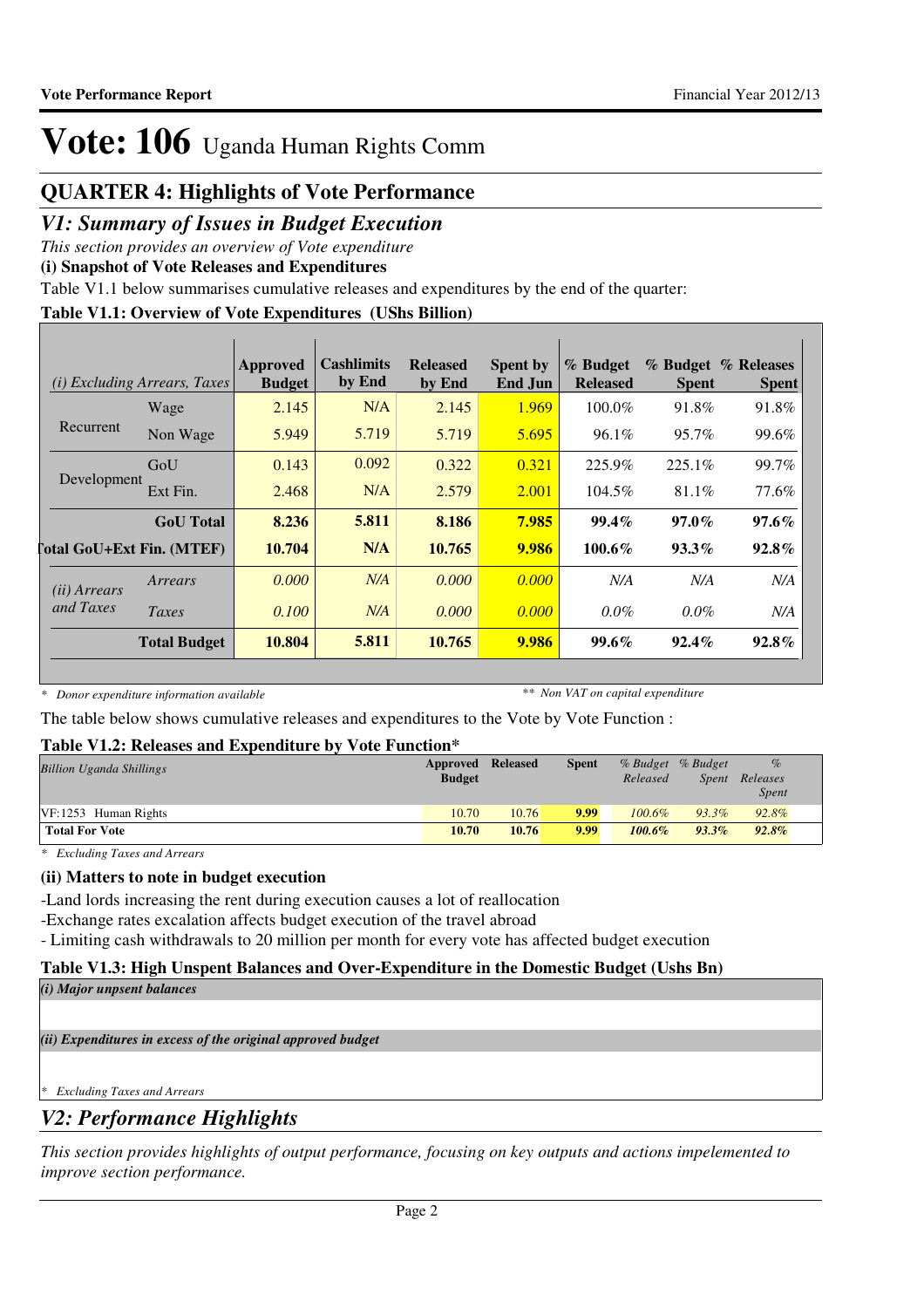### **QUARTER 4: Highlights of Vote Performance**

### *V1: Summary of Issues in Budget Execution*

*This section provides an overview of Vote expenditure*

**(i) Snapshot of Vote Releases and Expenditures**

Table V1.1 below summarises cumulative releases and expenditures by the end of the quarter:

#### **Table V1.1: Overview of Vote Expenditures (UShs Billion)**

|                       | <i>(i)</i> Excluding Arrears, Taxes | Approved<br><b>Budget</b> | Cashlimits<br>by End | <b>Released</b><br>by End | <b>Spent by</b><br>End Jun | % Budget<br><b>Released</b> | <b>Spent</b> | % Budget % Releases<br><b>Spent</b> |
|-----------------------|-------------------------------------|---------------------------|----------------------|---------------------------|----------------------------|-----------------------------|--------------|-------------------------------------|
|                       | Wage                                | 2.145                     | N/A                  | 2.145                     | 1.969                      | 100.0%                      | 91.8%        | 91.8%                               |
| Recurrent             | Non Wage                            | 5.949                     | 5.719                | 5.719                     | 5.695                      | 96.1%                       | 95.7%        | 99.6%                               |
|                       | GoU                                 | 0.143                     | 0.092                | 0.322                     | 0.321                      | 225.9%                      | 225.1%       | 99.7%                               |
| Development           | Ext Fin.                            | 2.468                     | N/A                  | 2.579                     | 2.001                      | 104.5%                      | 81.1%        | 77.6%                               |
|                       | <b>GoU</b> Total                    | 8.236                     | 5.811                | 8.186                     | 7.985                      | $99.4\%$                    | $97.0\%$     | $97.6\%$                            |
|                       | <b>Total GoU+Ext Fin. (MTEF)</b>    | 10.704                    | N/A                  | 10.765                    | 9.986                      | 100.6%                      | $93.3\%$     | $92.8\%$                            |
| ( <i>ii</i> ) Arrears | Arrears                             | 0.000                     | N/A                  | 0.000                     | 0.000                      | N/A                         | N/A          | N/A                                 |
| and Taxes             | Taxes                               | 0.100                     | N/A                  | 0.000                     | 0.000                      | $0.0\%$                     | $0.0\%$      | N/A                                 |
|                       | <b>Total Budget</b>                 | 10.804                    | 5.811                | 10.765                    | 9.986                      | $99.6\%$                    | $92.4\%$     | $92.8\%$                            |

*\* Donor expenditure information available*

*\*\* Non VAT on capital expenditure*

The table below shows cumulative releases and expenditures to the Vote by Vote Function :

### **Table V1.2: Releases and Expenditure by Vote Function\***

| <b>Billion Uganda Shillings</b> | Approved Released<br><b>Budget</b> |       | <b>Spent</b> | Released  | % Budget % Budget<br>Spent | $\%$<br>Releases<br><i>Spent</i> |  |
|---------------------------------|------------------------------------|-------|--------------|-----------|----------------------------|----------------------------------|--|
| $VF: 1253$ Human Rights         | 10.70                              | 10.76 | 9.99         | 100.6%    | $93.3\%$                   | 92.8%                            |  |
| <b>Total For Vote</b>           | 10.70                              | 10.76 | 9.99         | $100.6\%$ | $93.3\%$                   | $92.8\%$                         |  |

*\* Excluding Taxes and Arrears*

### **(ii) Matters to note in budget execution**

-Land lords increasing the rent during execution causes a lot of reallocation

-Exchange rates excalation affects budget execution of the travel abroad

- Limiting cash withdrawals to 20 million per month for every vote has affected budget execution

### **Table V1.3: High Unspent Balances and Over-Expenditure in the Domestic Budget (Ushs Bn)**

*(i) Major unpsent balances*

*(ii) Expenditures in excess of the original approved budget*

*\* Excluding Taxes and Arrears*

### *V2: Performance Highlights*

*This section provides highlights of output performance, focusing on key outputs and actions impelemented to improve section performance.*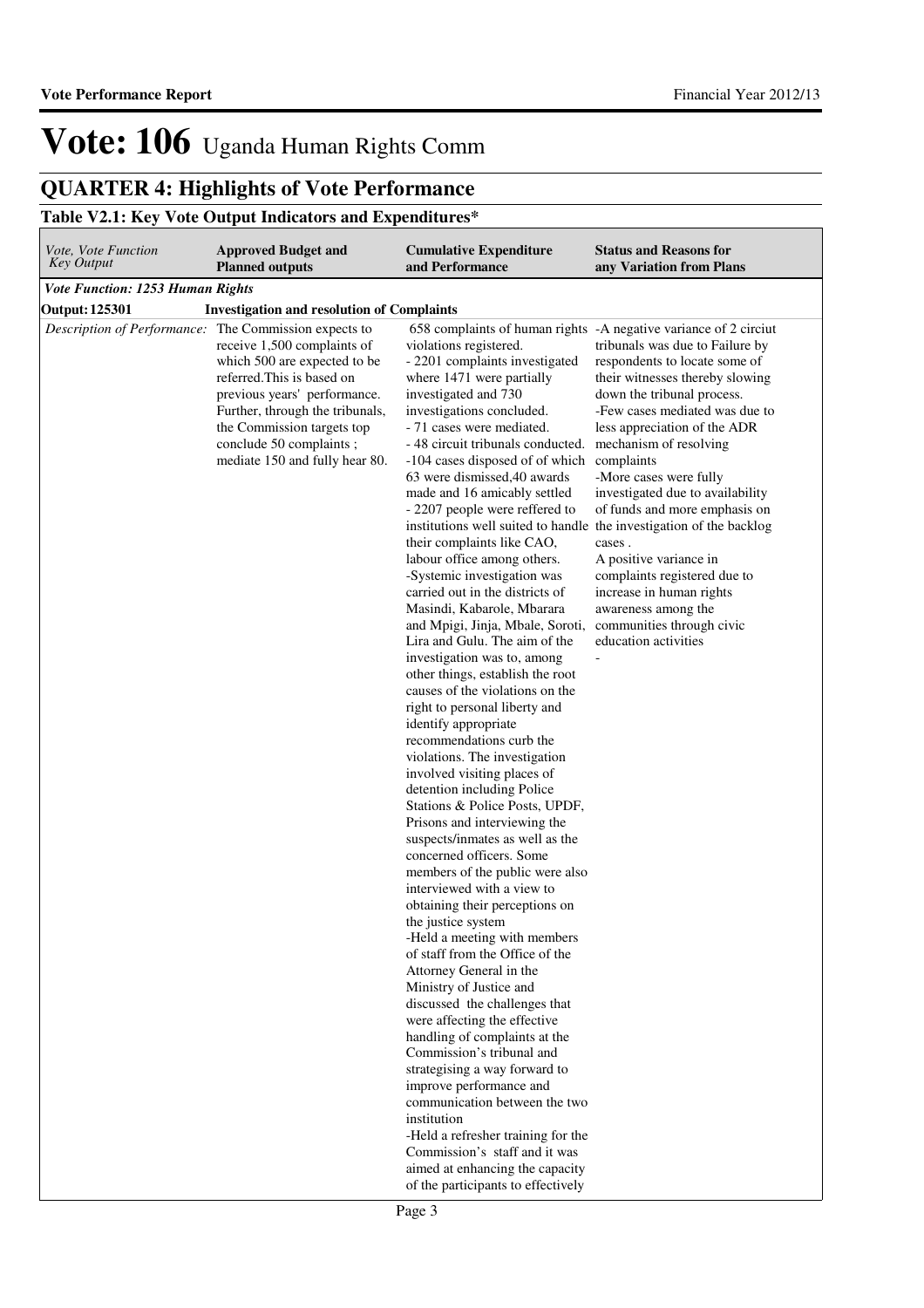## **QUARTER 4: Highlights of Vote Performance**

## **Table V2.1: Key Vote Output Indicators and Expenditures\***

| Vote, Vote Function<br><b>Key Output</b> | <b>Approved Budget and</b><br><b>Planned outputs</b>                                                                                                                                                                                                                                 | <b>Cumulative Expenditure</b><br>and Performance                                                                                                                                                                                                                                                                                                                                                                                                                                                                                                                                                                                                                                                                                                                                                                                                                                                                                                                                                                                                                                                                                                                                                                                                                                                                                                                                                                                                                                                                                                                                                                                                                                                                                             | <b>Status and Reasons for</b><br>any Variation from Plans                                                                                                                                                                                                                                                                                                                                                                                                                                                                                                                    |
|------------------------------------------|--------------------------------------------------------------------------------------------------------------------------------------------------------------------------------------------------------------------------------------------------------------------------------------|----------------------------------------------------------------------------------------------------------------------------------------------------------------------------------------------------------------------------------------------------------------------------------------------------------------------------------------------------------------------------------------------------------------------------------------------------------------------------------------------------------------------------------------------------------------------------------------------------------------------------------------------------------------------------------------------------------------------------------------------------------------------------------------------------------------------------------------------------------------------------------------------------------------------------------------------------------------------------------------------------------------------------------------------------------------------------------------------------------------------------------------------------------------------------------------------------------------------------------------------------------------------------------------------------------------------------------------------------------------------------------------------------------------------------------------------------------------------------------------------------------------------------------------------------------------------------------------------------------------------------------------------------------------------------------------------------------------------------------------------|------------------------------------------------------------------------------------------------------------------------------------------------------------------------------------------------------------------------------------------------------------------------------------------------------------------------------------------------------------------------------------------------------------------------------------------------------------------------------------------------------------------------------------------------------------------------------|
| <b>Vote Function: 1253 Human Rights</b>  |                                                                                                                                                                                                                                                                                      |                                                                                                                                                                                                                                                                                                                                                                                                                                                                                                                                                                                                                                                                                                                                                                                                                                                                                                                                                                                                                                                                                                                                                                                                                                                                                                                                                                                                                                                                                                                                                                                                                                                                                                                                              |                                                                                                                                                                                                                                                                                                                                                                                                                                                                                                                                                                              |
| Output: 125301                           | <b>Investigation and resolution of Complaints</b>                                                                                                                                                                                                                                    |                                                                                                                                                                                                                                                                                                                                                                                                                                                                                                                                                                                                                                                                                                                                                                                                                                                                                                                                                                                                                                                                                                                                                                                                                                                                                                                                                                                                                                                                                                                                                                                                                                                                                                                                              |                                                                                                                                                                                                                                                                                                                                                                                                                                                                                                                                                                              |
| Description of Performance:              | The Commission expects to<br>receive 1,500 complaints of<br>which 500 are expected to be<br>referred. This is based on<br>previous years' performance.<br>Further, through the tribunals,<br>the Commission targets top<br>conclude 50 complaints;<br>mediate 150 and fully hear 80. | violations registered.<br>- 2201 complaints investigated<br>where 1471 were partially<br>investigated and 730<br>investigations concluded.<br>- 71 cases were mediated.<br>- 48 circuit tribunals conducted.<br>-104 cases disposed of of which complaints<br>63 were dismissed, 40 awards<br>made and 16 amicably settled<br>- 2207 people were reffered to<br>institutions well suited to handle the investigation of the backlog<br>their complaints like CAO,<br>labour office among others.<br>-Systemic investigation was<br>carried out in the districts of<br>Masindi, Kabarole, Mbarara<br>and Mpigi, Jinja, Mbale, Soroti,<br>Lira and Gulu. The aim of the<br>investigation was to, among<br>other things, establish the root<br>causes of the violations on the<br>right to personal liberty and<br>identify appropriate<br>recommendations curb the<br>violations. The investigation<br>involved visiting places of<br>detention including Police<br>Stations & Police Posts, UPDF,<br>Prisons and interviewing the<br>suspects/inmates as well as the<br>concerned officers. Some<br>members of the public were also<br>interviewed with a view to<br>obtaining their perceptions on<br>the justice system<br>-Held a meeting with members<br>of staff from the Office of the<br>Attorney General in the<br>Ministry of Justice and<br>discussed the challenges that<br>were affecting the effective<br>handling of complaints at the<br>Commission's tribunal and<br>strategising a way forward to<br>improve performance and<br>communication between the two<br>institution<br>-Held a refresher training for the<br>Commission's staff and it was<br>aimed at enhancing the capacity<br>of the participants to effectively | 658 complaints of human rights -A negative variance of 2 circiut<br>tribunals was due to Failure by<br>respondents to locate some of<br>their witnesses thereby slowing<br>down the tribunal process.<br>-Few cases mediated was due to<br>less appreciation of the ADR<br>mechanism of resolving<br>-More cases were fully<br>investigated due to availability<br>of funds and more emphasis on<br>cases.<br>A positive variance in<br>complaints registered due to<br>increase in human rights<br>awareness among the<br>communities through civic<br>education activities |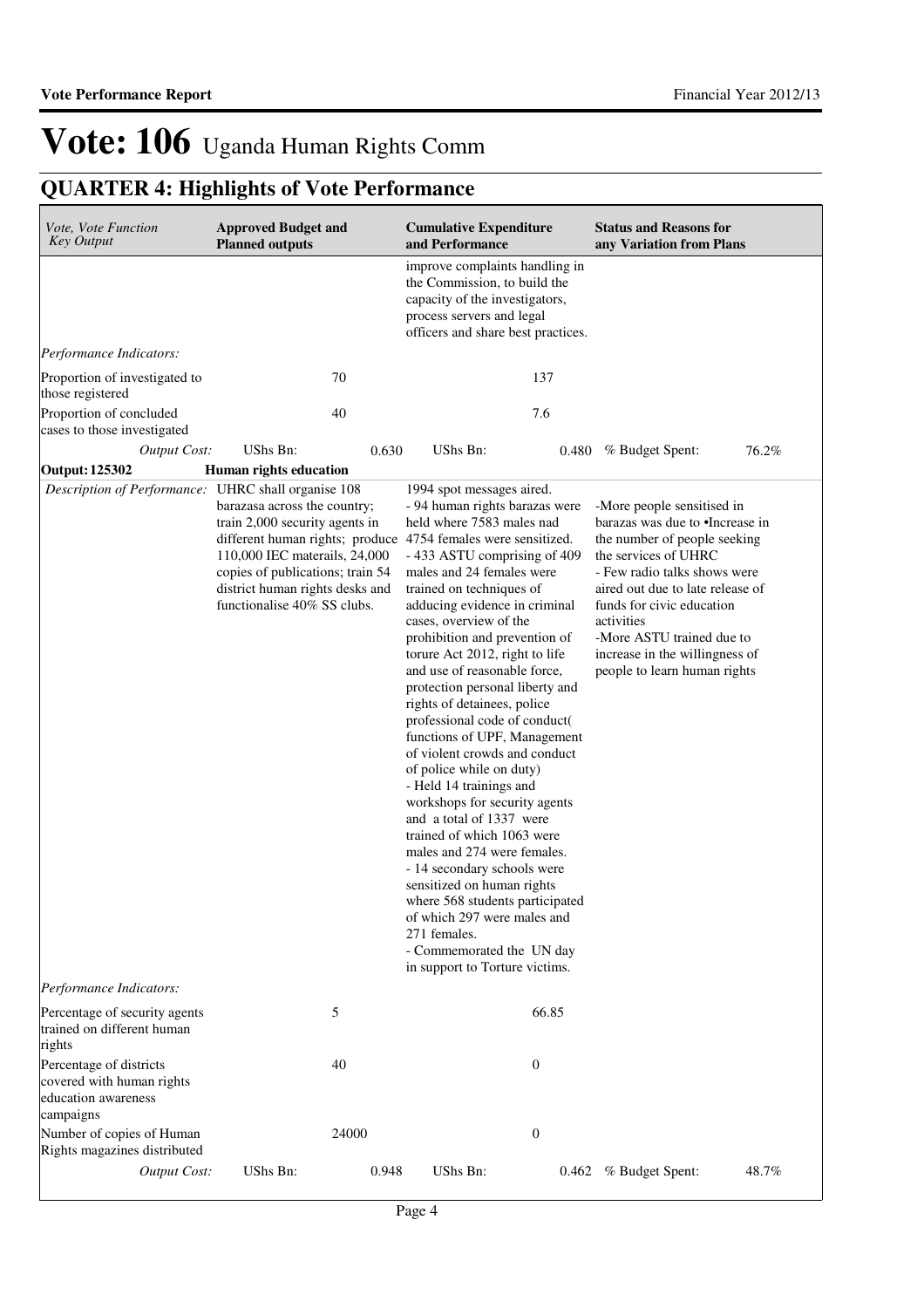## **QUARTER 4: Highlights of Vote Performance**

| Vote, Vote Function<br><b>Key Output</b>                                                 | <b>Approved Budget and</b><br><b>Planned outputs</b>                                                                                                                                                                                                                   | <b>Cumulative Expenditure</b><br>and Performance                                                                                                                                                                                                                                                                                                                                                                                                                                                                                                                                                                                                                                                                                                                                                                                                                                                                   | <b>Status and Reasons for</b><br>any Variation from Plans                                                                                                                                                                                                                                                                           |
|------------------------------------------------------------------------------------------|------------------------------------------------------------------------------------------------------------------------------------------------------------------------------------------------------------------------------------------------------------------------|--------------------------------------------------------------------------------------------------------------------------------------------------------------------------------------------------------------------------------------------------------------------------------------------------------------------------------------------------------------------------------------------------------------------------------------------------------------------------------------------------------------------------------------------------------------------------------------------------------------------------------------------------------------------------------------------------------------------------------------------------------------------------------------------------------------------------------------------------------------------------------------------------------------------|-------------------------------------------------------------------------------------------------------------------------------------------------------------------------------------------------------------------------------------------------------------------------------------------------------------------------------------|
|                                                                                          |                                                                                                                                                                                                                                                                        | improve complaints handling in<br>the Commission, to build the<br>capacity of the investigators,<br>process servers and legal<br>officers and share best practices.                                                                                                                                                                                                                                                                                                                                                                                                                                                                                                                                                                                                                                                                                                                                                |                                                                                                                                                                                                                                                                                                                                     |
| Performance Indicators:                                                                  |                                                                                                                                                                                                                                                                        |                                                                                                                                                                                                                                                                                                                                                                                                                                                                                                                                                                                                                                                                                                                                                                                                                                                                                                                    |                                                                                                                                                                                                                                                                                                                                     |
| Proportion of investigated to<br>those registered                                        | 70                                                                                                                                                                                                                                                                     | 137                                                                                                                                                                                                                                                                                                                                                                                                                                                                                                                                                                                                                                                                                                                                                                                                                                                                                                                |                                                                                                                                                                                                                                                                                                                                     |
| Proportion of concluded<br>cases to those investigated                                   | 40                                                                                                                                                                                                                                                                     | 7.6                                                                                                                                                                                                                                                                                                                                                                                                                                                                                                                                                                                                                                                                                                                                                                                                                                                                                                                |                                                                                                                                                                                                                                                                                                                                     |
| <b>Output Cost:</b>                                                                      | UShs Bn:<br>0.630                                                                                                                                                                                                                                                      | UShs Bn:<br>0.480                                                                                                                                                                                                                                                                                                                                                                                                                                                                                                                                                                                                                                                                                                                                                                                                                                                                                                  | 76.2%<br>% Budget Spent:                                                                                                                                                                                                                                                                                                            |
| <b>Output: 125302</b>                                                                    | Human rights education                                                                                                                                                                                                                                                 |                                                                                                                                                                                                                                                                                                                                                                                                                                                                                                                                                                                                                                                                                                                                                                                                                                                                                                                    |                                                                                                                                                                                                                                                                                                                                     |
| Description of Performance: UHRC shall organise 108                                      | barazasa across the country;<br>train 2,000 security agents in<br>different human rights; produce 4754 females were sensitized.<br>110,000 IEC materails, 24,000<br>copies of publications; train 54<br>district human rights desks and<br>functionalise 40% SS clubs. | 1994 spot messages aired.<br>- 94 human rights barazas were<br>held where 7583 males nad<br>- 433 ASTU comprising of 409<br>males and 24 females were<br>trained on techniques of<br>adducing evidence in criminal<br>cases, overview of the<br>prohibition and prevention of<br>torure Act 2012, right to life<br>and use of reasonable force,<br>protection personal liberty and<br>rights of detainees, police<br>professional code of conduct(<br>functions of UPF, Management<br>of violent crowds and conduct<br>of police while on duty)<br>- Held 14 trainings and<br>workshops for security agents<br>and a total of 1337 were<br>trained of which 1063 were<br>males and 274 were females.<br>- 14 secondary schools were<br>sensitized on human rights<br>where 568 students participated<br>of which 297 were males and<br>271 females.<br>- Commemorated the UN day<br>in support to Torture victims. | -More people sensitised in<br>barazas was due to •Increase in<br>the number of people seeking<br>the services of UHRC<br>- Few radio talks shows were<br>aired out due to late release of<br>funds for civic education<br>activities<br>-More ASTU trained due to<br>increase in the willingness of<br>people to learn human rights |
| Performance Indicators:                                                                  |                                                                                                                                                                                                                                                                        |                                                                                                                                                                                                                                                                                                                                                                                                                                                                                                                                                                                                                                                                                                                                                                                                                                                                                                                    |                                                                                                                                                                                                                                                                                                                                     |
| Percentage of security agents<br>trained on different human<br>rights                    | 5                                                                                                                                                                                                                                                                      | 66.85                                                                                                                                                                                                                                                                                                                                                                                                                                                                                                                                                                                                                                                                                                                                                                                                                                                                                                              |                                                                                                                                                                                                                                                                                                                                     |
| Percentage of districts<br>covered with human rights<br>education awareness<br>campaigns | 40                                                                                                                                                                                                                                                                     | $\boldsymbol{0}$                                                                                                                                                                                                                                                                                                                                                                                                                                                                                                                                                                                                                                                                                                                                                                                                                                                                                                   |                                                                                                                                                                                                                                                                                                                                     |
| Number of copies of Human<br>Rights magazines distributed                                | 24000                                                                                                                                                                                                                                                                  | $\boldsymbol{0}$                                                                                                                                                                                                                                                                                                                                                                                                                                                                                                                                                                                                                                                                                                                                                                                                                                                                                                   |                                                                                                                                                                                                                                                                                                                                     |
| <b>Output Cost:</b>                                                                      | UShs Bn:<br>0.948                                                                                                                                                                                                                                                      | UShs Bn:<br>0.462                                                                                                                                                                                                                                                                                                                                                                                                                                                                                                                                                                                                                                                                                                                                                                                                                                                                                                  | 48.7%<br>% Budget Spent:                                                                                                                                                                                                                                                                                                            |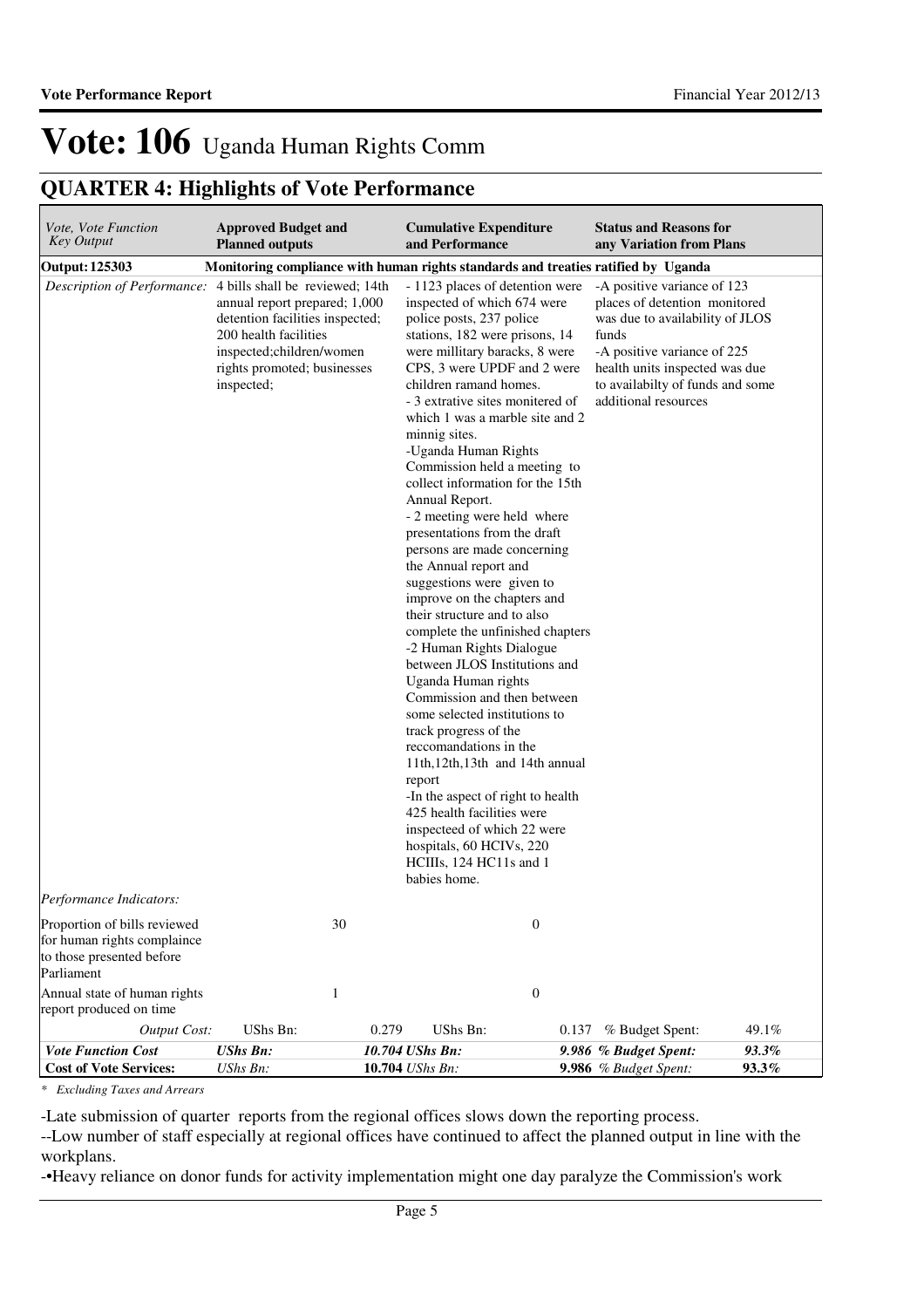## **QUARTER 4: Highlights of Vote Performance**

| Vote, Vote Function<br>Key Output                                                                      | <b>Approved Budget and</b><br><b>Planned outputs</b>                                                                                                                                                  | <b>Cumulative Expenditure</b><br>and Performance                                                                                                                                                                                                                                                                                                                                                                                                                                                                                                                                                                                                                                                                                                                                                                                                                                                                                                                                                                                                                                                                  | <b>Status and Reasons for</b><br>any Variation from Plans                                                                                                                                                                             |
|--------------------------------------------------------------------------------------------------------|-------------------------------------------------------------------------------------------------------------------------------------------------------------------------------------------------------|-------------------------------------------------------------------------------------------------------------------------------------------------------------------------------------------------------------------------------------------------------------------------------------------------------------------------------------------------------------------------------------------------------------------------------------------------------------------------------------------------------------------------------------------------------------------------------------------------------------------------------------------------------------------------------------------------------------------------------------------------------------------------------------------------------------------------------------------------------------------------------------------------------------------------------------------------------------------------------------------------------------------------------------------------------------------------------------------------------------------|---------------------------------------------------------------------------------------------------------------------------------------------------------------------------------------------------------------------------------------|
| <b>Output: 125303</b>                                                                                  |                                                                                                                                                                                                       | Monitoring compliance with human rights standards and treaties ratified by Uganda                                                                                                                                                                                                                                                                                                                                                                                                                                                                                                                                                                                                                                                                                                                                                                                                                                                                                                                                                                                                                                 |                                                                                                                                                                                                                                       |
| Description of Performance:                                                                            | 4 bills shall be reviewed; 14th<br>annual report prepared; 1,000<br>detention facilities inspected;<br>200 health facilities<br>inspected;children/women<br>rights promoted; businesses<br>inspected; | - 1123 places of detention were<br>inspected of which 674 were<br>police posts, 237 police<br>stations, 182 were prisons, 14<br>were millitary baracks, 8 were<br>CPS, 3 were UPDF and 2 were<br>children ramand homes.<br>- 3 extrative sites monitered of<br>which 1 was a marble site and 2<br>minnig sites.<br>-Uganda Human Rights<br>Commission held a meeting to<br>collect information for the 15th<br>Annual Report.<br>- 2 meeting were held where<br>presentations from the draft<br>persons are made concerning<br>the Annual report and<br>suggestions were given to<br>improve on the chapters and<br>their structure and to also<br>complete the unfinished chapters<br>-2 Human Rights Dialogue<br>between JLOS Institutions and<br>Uganda Human rights<br>Commission and then between<br>some selected institutions to<br>track progress of the<br>reccomandations in the<br>11th, 12th, 13th and 14th annual<br>report<br>-In the aspect of right to health<br>425 health facilities were<br>inspecteed of which 22 were<br>hospitals, 60 HCIVs, 220<br>HCIIIs, 124 HC11s and 1<br>babies home. | -A positive variance of 123<br>places of detention monitored<br>was due to availability of JLOS<br>funds<br>-A positive variance of 225<br>health units inspected was due<br>to availabilty of funds and some<br>additional resources |
| <i>Performance Indicators:</i>                                                                         |                                                                                                                                                                                                       |                                                                                                                                                                                                                                                                                                                                                                                                                                                                                                                                                                                                                                                                                                                                                                                                                                                                                                                                                                                                                                                                                                                   |                                                                                                                                                                                                                                       |
| Proportion of bills reviewed<br>for human rights complaince<br>to those presented before<br>Parliament | 30                                                                                                                                                                                                    | $\boldsymbol{0}$                                                                                                                                                                                                                                                                                                                                                                                                                                                                                                                                                                                                                                                                                                                                                                                                                                                                                                                                                                                                                                                                                                  |                                                                                                                                                                                                                                       |
| Annual state of human rights<br>report produced on time                                                | 1                                                                                                                                                                                                     | $\mathbf{0}$                                                                                                                                                                                                                                                                                                                                                                                                                                                                                                                                                                                                                                                                                                                                                                                                                                                                                                                                                                                                                                                                                                      |                                                                                                                                                                                                                                       |
| <b>Output Cost:</b>                                                                                    | UShs Bn:                                                                                                                                                                                              | 0.279<br>UShs Bn:<br>0.137                                                                                                                                                                                                                                                                                                                                                                                                                                                                                                                                                                                                                                                                                                                                                                                                                                                                                                                                                                                                                                                                                        | % Budget Spent:<br>49.1%                                                                                                                                                                                                              |
| <b>Vote Function Cost</b><br><b>Cost of Vote Services:</b>                                             | <b>UShs Bn:</b><br>UShs Bn:                                                                                                                                                                           | 10.704 UShs Bn:<br>10.704 UShs Bn:                                                                                                                                                                                                                                                                                                                                                                                                                                                                                                                                                                                                                                                                                                                                                                                                                                                                                                                                                                                                                                                                                | 9.986 % Budget Spent:<br>93.3%<br>9.986 % Budget Spent:<br>93.3%                                                                                                                                                                      |

*\* Excluding Taxes and Arrears*

-Late submission of quarter reports from the regional offices slows down the reporting process.

--Low number of staff especially at regional offices have continued to affect the planned output in line with the workplans.

-•Heavy reliance on donor funds for activity implementation might one day paralyze the Commission's work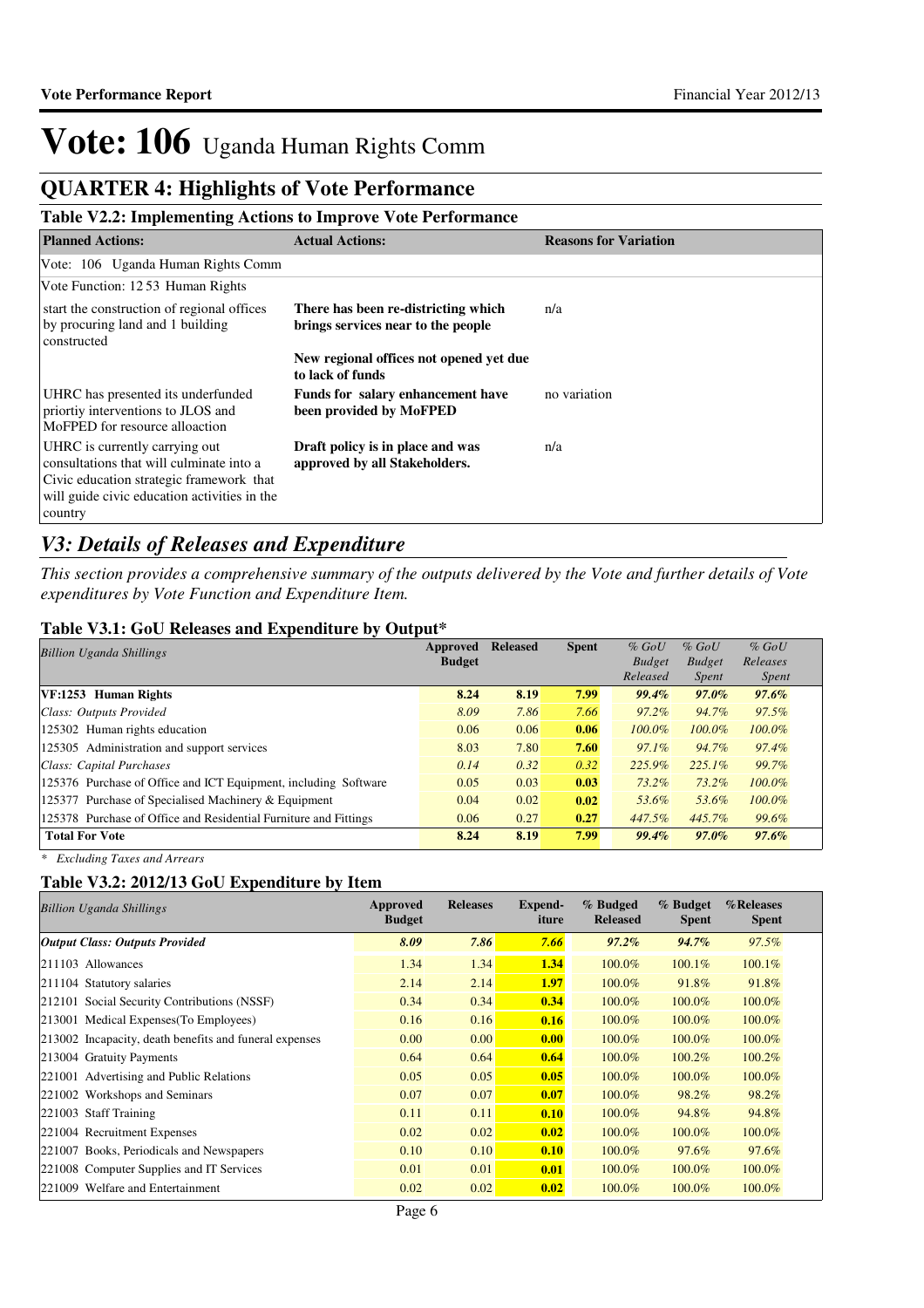## **QUARTER 4: Highlights of Vote Performance**

### **Table V2.2: Implementing Actions to Improve Vote Performance**

| <b>Planned Actions:</b>                                                                                                                                                           | <b>Actual Actions:</b>                                                    | <b>Reasons for Variation</b> |
|-----------------------------------------------------------------------------------------------------------------------------------------------------------------------------------|---------------------------------------------------------------------------|------------------------------|
| Vote: 106 Uganda Human Rights Comm                                                                                                                                                |                                                                           |                              |
| Vote Function: 1253 Human Rights                                                                                                                                                  |                                                                           |                              |
| start the construction of regional offices<br>by procuring land and 1 building<br>constructed                                                                                     | There has been re-districting which<br>brings services near to the people | n/a                          |
|                                                                                                                                                                                   | New regional offices not opened yet due<br>to lack of funds               |                              |
| UHRC has presented its underfunded<br>priortiy interventions to JLOS and<br>MoFPED for resource alloaction                                                                        | Funds for salary enhancement have<br>been provided by MoFPED              | no variation                 |
| UHRC is currently carrying out<br>consultations that will culminate into a<br>Civic education strategic framework that<br>will guide civic education activities in the<br>country | Draft policy is in place and was<br>approved by all Stakeholders.         | n/a                          |

### *V3: Details of Releases and Expenditure*

*This section provides a comprehensive summary of the outputs delivered by the Vote and further details of Vote expenditures by Vote Function and Expenditure Item.*

#### **Table V3.1: GoU Releases and Expenditure by Output\***

| <b>Billion Uganda Shillings</b>                                  | Approved<br><b>Budget</b> | <b>Released</b> | <b>Spent</b> | $%$ GoU<br><b>Budget</b> | $%$ GoU<br><b>Budget</b> | $%$ GoU<br>Releases |
|------------------------------------------------------------------|---------------------------|-----------------|--------------|--------------------------|--------------------------|---------------------|
|                                                                  |                           |                 |              | Released                 | <i>Spent</i>             | <i>Spent</i>        |
| VF:1253 Human Rights                                             | 8.24                      | 8.19            | 7.99         | 99.4%                    | $97.0\%$                 | $97.6\%$            |
| Class: Outputs Provided                                          | 8.09                      | 7.86            | 7.66         | $97.2\%$                 | 94.7%                    | 97.5%               |
| 125302 Human rights education                                    | 0.06                      | 0.06            | 0.06         | $100.0\%$                | 100.0%                   | $100.0\%$           |
| 125305 Administration and support services                       | 8.03                      | 7.80            | 7.60         | $97.1\%$                 | 94.7%                    | 97.4%               |
| Class: Capital Purchases                                         | 0.14                      | 0.32            | 0.32         | 225.9%                   | $225.1\%$                | 99.7%               |
| 125376 Purchase of Office and ICT Equipment, including Software  | 0.05                      | 0.03            | 0.03         | $73.2\%$                 | 73.2%                    | $100.0\%$           |
| 125377 Purchase of Specialised Machinery & Equipment             | 0.04                      | 0.02            | 0.02         | 53.6%                    | 53.6%                    | $100.0\%$           |
| 125378 Purchase of Office and Residential Furniture and Fittings | 0.06                      | 0.27            | 0.27         | 447.5%                   | 445.7%                   | 99.6%               |
| <b>Total For Vote</b>                                            | 8.24                      | 8.19            | 7.99         | 99.4%                    | 97.0%                    | $97.6\%$            |

*\* Excluding Taxes and Arrears*

### **Table V3.2: 2012/13 GoU Expenditure by Item**

| <b>Billion Uganda Shillings</b>                        | <b>Approved</b><br><b>Budget</b> | <b>Releases</b> | Expend-<br>iture | % Budged<br><b>Released</b> | % Budget<br><b>Spent</b> | %Releases<br><b>Spent</b> |
|--------------------------------------------------------|----------------------------------|-----------------|------------------|-----------------------------|--------------------------|---------------------------|
| <b>Output Class: Outputs Provided</b>                  | 8.09                             | 7.86            | 7.66             | $97.2\%$                    | 94.7%                    | $97.5\%$                  |
| $ 211103$ Allowances                                   | 1.34                             | 1.34            | 1.34             | 100.0%                      | $100.1\%$                | $100.1\%$                 |
| 211104 Statutory salaries                              | 2.14                             | 2.14            | 1.97             | 100.0%                      | 91.8%                    | 91.8%                     |
| 212101 Social Security Contributions (NSSF)            | 0.34                             | 0.34            | 0.34             | 100.0%                      | 100.0%                   | 100.0%                    |
| 213001 Medical Expenses (To Employees)                 | 0.16                             | 0.16            | 0.16             | 100.0%                      | 100.0%                   | 100.0%                    |
| 213002 Incapacity, death benefits and funeral expenses | 0.00                             | 0.00            | 0.00             | 100.0%                      | 100.0%                   | 100.0%                    |
| 213004 Gratuity Payments                               | 0.64                             | 0.64            | 0.64             | 100.0%                      | 100.2%                   | 100.2%                    |
| 221001 Advertising and Public Relations                | 0.05                             | 0.05            | 0.05             | 100.0%                      | 100.0%                   | 100.0%                    |
| 221002 Workshops and Seminars                          | 0.07                             | 0.07            | 0.07             | 100.0%                      | 98.2%                    | 98.2%                     |
| 221003 Staff Training                                  | 0.11                             | 0.11            | 0.10             | 100.0%                      | 94.8%                    | 94.8%                     |
| 221004 Recruitment Expenses                            | 0.02                             | 0.02            | 0.02             | 100.0%                      | 100.0%                   | 100.0%                    |
| 221007 Books, Periodicals and Newspapers               | 0.10                             | 0.10            | 0.10             | 100.0%                      | 97.6%                    | 97.6%                     |
| 221008 Computer Supplies and IT Services               | 0.01                             | 0.01            | 0.01             | 100.0%                      | 100.0%                   | 100.0%                    |
| 221009 Welfare and Entertainment                       | 0.02                             | 0.02            | 0.02             | 100.0%                      | 100.0%                   | 100.0%                    |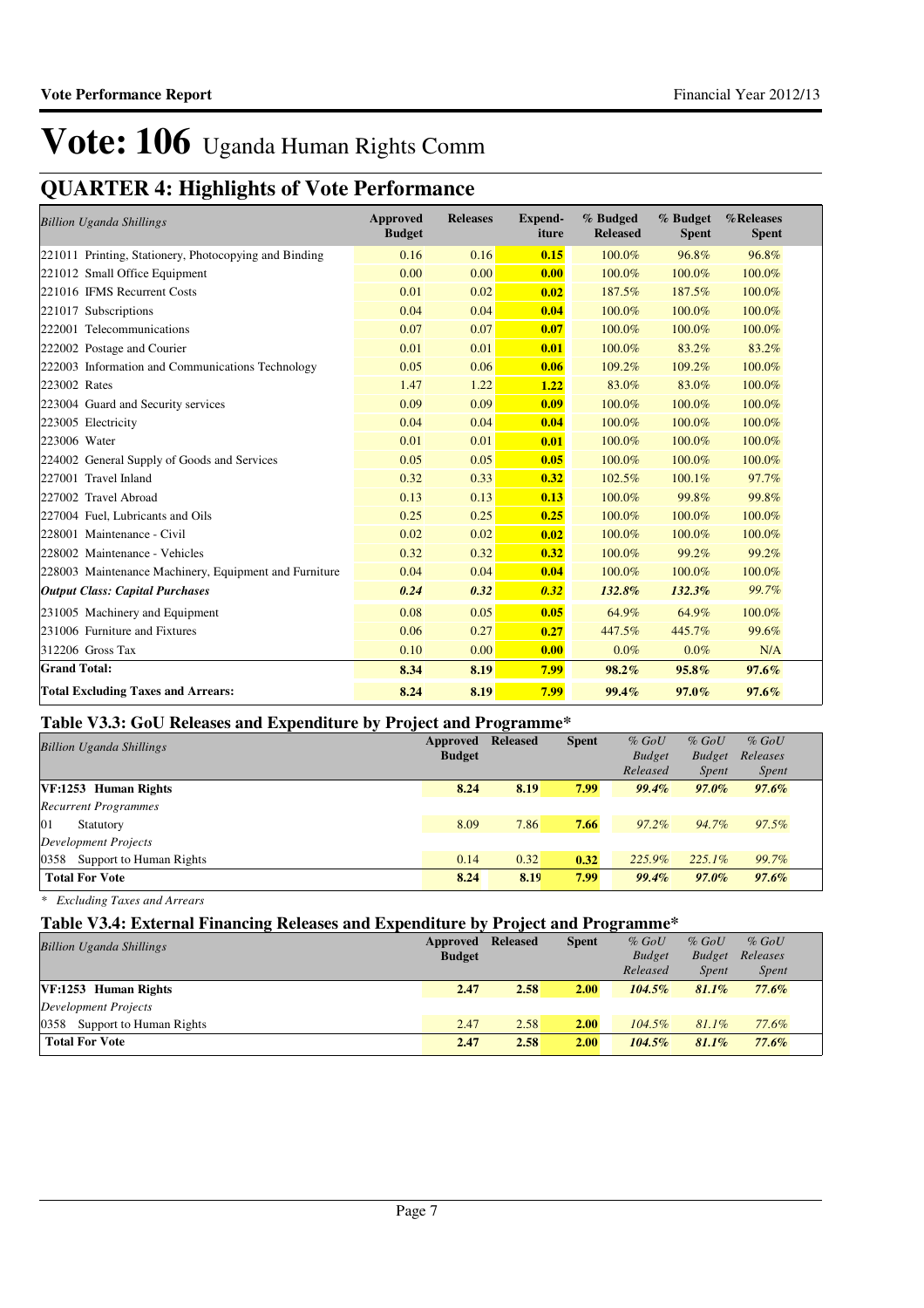## **QUARTER 4: Highlights of Vote Performance**

| <b>Billion Uganda Shillings</b>                       | Approved<br><b>Budget</b> | <b>Releases</b> | <b>Expend-</b><br>iture | % Budged<br><b>Released</b> | % Budget<br><b>Spent</b> | %Releases<br><b>Spent</b> |
|-------------------------------------------------------|---------------------------|-----------------|-------------------------|-----------------------------|--------------------------|---------------------------|
| 221011 Printing, Stationery, Photocopying and Binding | 0.16                      | 0.16            | 0.15                    | 100.0%                      | 96.8%                    | 96.8%                     |
| 221012 Small Office Equipment                         | 0.00                      | 0.00            | 0.00                    | 100.0%                      | 100.0%                   | 100.0%                    |
| 221016 IFMS Recurrent Costs                           | 0.01                      | 0.02            | 0.02                    | 187.5%                      | 187.5%                   | 100.0%                    |
| 221017 Subscriptions                                  | 0.04                      | 0.04            | 0.04                    | 100.0%                      | 100.0%                   | 100.0%                    |
| 222001 Telecommunications                             | 0.07                      | 0.07            | 0.07                    | 100.0%                      | 100.0%                   | 100.0%                    |
| 222002 Postage and Courier                            | 0.01                      | 0.01            | 0.01                    | 100.0%                      | 83.2%                    | 83.2%                     |
| 222003 Information and Communications Technology      | 0.05                      | 0.06            | 0.06                    | 109.2%                      | 109.2%                   | 100.0%                    |
| 223002 Rates                                          | 1.47                      | 1.22            | 1.22                    | 83.0%                       | 83.0%                    | 100.0%                    |
| 223004 Guard and Security services                    | 0.09                      | 0.09            | 0.09                    | 100.0%                      | 100.0%                   | 100.0%                    |
| 223005 Electricity                                    | 0.04                      | 0.04            | 0.04                    | 100.0%                      | 100.0%                   | 100.0%                    |
| 223006 Water                                          | 0.01                      | 0.01            | 0.01                    | 100.0%                      | 100.0%                   | 100.0%                    |
| 224002 General Supply of Goods and Services           | 0.05                      | 0.05            | 0.05                    | 100.0%                      | 100.0%                   | 100.0%                    |
| 227001 Travel Inland                                  | 0.32                      | 0.33            | 0.32                    | 102.5%                      | 100.1%                   | 97.7%                     |
| 227002 Travel Abroad                                  | 0.13                      | 0.13            | 0.13                    | 100.0%                      | 99.8%                    | 99.8%                     |
| 227004 Fuel, Lubricants and Oils                      | 0.25                      | 0.25            | 0.25                    | 100.0%                      | 100.0%                   | 100.0%                    |
| 228001 Maintenance - Civil                            | 0.02                      | 0.02            | 0.02                    | 100.0%                      | 100.0%                   | 100.0%                    |
| 228002 Maintenance - Vehicles                         | 0.32                      | 0.32            | 0.32                    | 100.0%                      | 99.2%                    | 99.2%                     |
| 228003 Maintenance Machinery, Equipment and Furniture | 0.04                      | 0.04            | 0.04                    | 100.0%                      | 100.0%                   | 100.0%                    |
| <b>Output Class: Capital Purchases</b>                | 0.24                      | 0.32            | 0.32                    | 132.8%                      | 132.3%                   | 99.7%                     |
| 231005 Machinery and Equipment                        | 0.08                      | 0.05            | 0.05                    | 64.9%                       | 64.9%                    | 100.0%                    |
| 231006 Furniture and Fixtures                         | 0.06                      | 0.27            | 0.27                    | 447.5%                      | 445.7%                   | 99.6%                     |
| 312206 Gross Tax                                      | 0.10                      | 0.00            | 0.00                    | $0.0\%$                     | 0.0%                     | N/A                       |
| <b>Grand Total:</b>                                   | 8.34                      | 8.19            | 7.99                    | 98.2%                       | 95.8%                    | $97.6\%$                  |
| <b>Total Excluding Taxes and Arrears:</b>             | 8.24                      | 8.19            | 7.99                    | 99.4%                       | 97.0%                    | $97.6\%$                  |

### **Table V3.3: GoU Releases and Expenditure by Project and Programme\***

| <b>Billion Uganda Shillings</b> | Approved<br><b>Budget</b> | <b>Released</b> | <b>Spent</b> | $%$ GoU<br><b>Budget</b><br>Released | $%$ GoU<br><b>Budget</b><br><i>Spent</i> | $%$ GoU<br>Releases<br><i>Spent</i> |
|---------------------------------|---------------------------|-----------------|--------------|--------------------------------------|------------------------------------------|-------------------------------------|
| VF:1253 Human Rights            | 8.24                      | 8.19            | 7.99         | 99.4%                                | $97.0\%$                                 | $97.6\%$                            |
| <b>Recurrent Programmes</b>     |                           |                 |              |                                      |                                          |                                     |
| 01<br>Statutory                 | 8.09                      | 7.86            | 7.66         | $97.2\%$                             | 94.7%                                    | $97.5\%$                            |
| Development Projects            |                           |                 |              |                                      |                                          |                                     |
| 0358 Support to Human Rights    | 0.14                      | 0.32            | 0.32         | 225.9%                               | $225.1\%$                                | 99.7%                               |
| <b>Total For Vote</b>           | 8.24                      | 8.19            | 7.99         | $99.4\%$                             | $97.0\%$                                 | $97.6\%$                            |

*\* Excluding Taxes and Arrears*

### **Table V3.4: External Financing Releases and Expenditure by Project and Programme\***

| <b>Billion Uganda Shillings</b> | Approved<br><b>Budget</b> | <b>Released</b> | <b>Spent</b> | $%$ GoU<br><b>Budget</b> | $%$ GoU<br><b>Budget</b> | $%$ GoU<br>Releases |
|---------------------------------|---------------------------|-----------------|--------------|--------------------------|--------------------------|---------------------|
|                                 |                           |                 |              | Released                 | <b>Spent</b>             | <i>Spent</i>        |
| VF:1253 Human Rights            | 2.47                      | 2.58            | 2.00         | $104.5\%$                | $81.1\%$                 | $77.6\%$            |
| Development Projects            |                           |                 |              |                          |                          |                     |
| 0358<br>Support to Human Rights | 2.47                      | 2.58            | 2.00         | $104.5\%$                | $81.1\%$                 | 77.6%               |
| <b>Total For Vote</b>           | 2.47                      | 2.58            | 2.00         | $104.5\%$                | $81.1\%$                 | $77.6\%$            |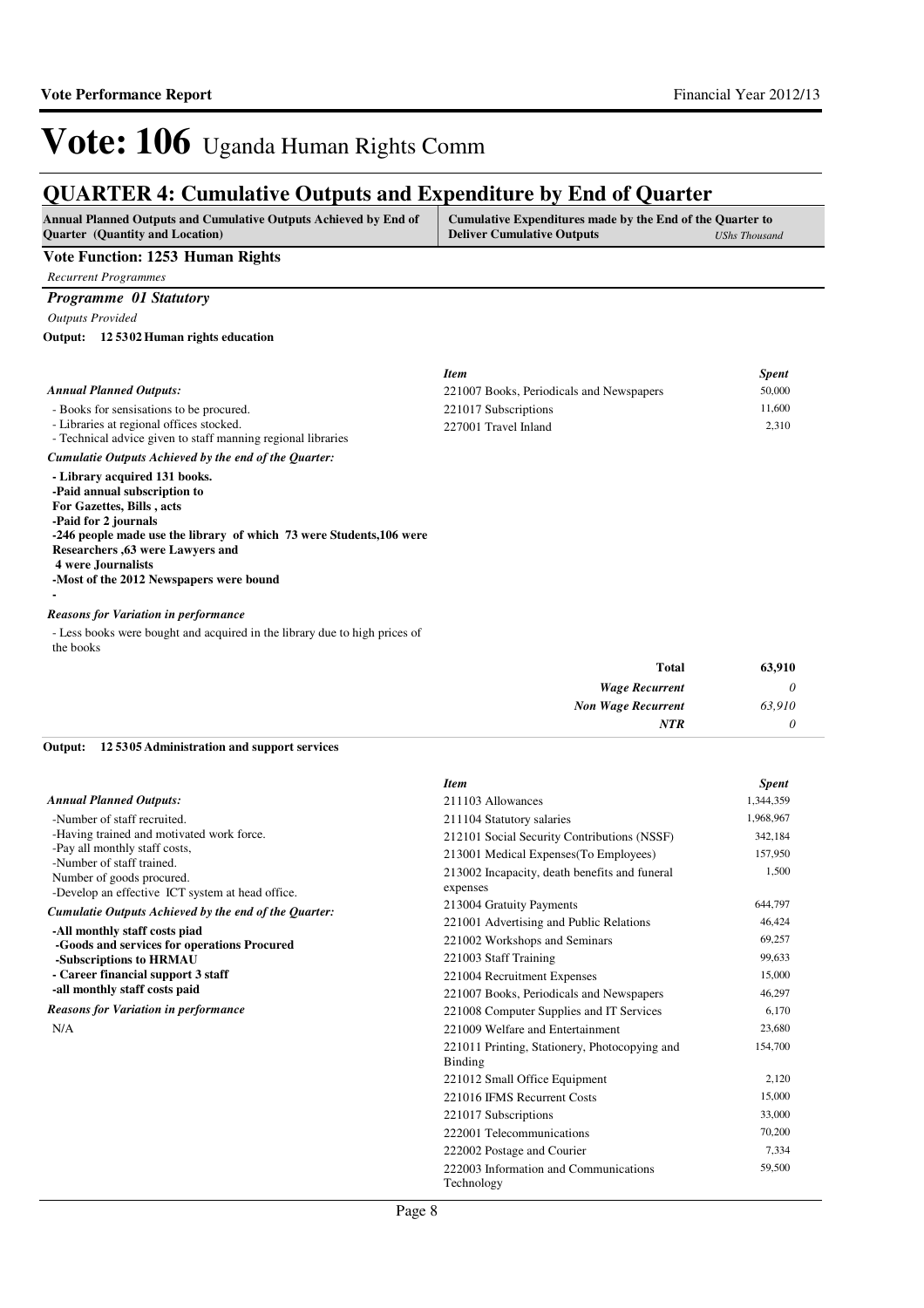### **QUARTER 4: Cumulative Outputs and Expenditure by End of Quarter**

| <b>Annual Planned Outputs and Cumulative Outputs Achieved by End of</b><br><b>Ouarter</b> (Quantity and Location) | Cumulative Expenditures made by the End of the Quarter to<br><b>Deliver Cumulative Outputs</b> | UShs Thousand |
|-------------------------------------------------------------------------------------------------------------------|------------------------------------------------------------------------------------------------|---------------|
| Vote Function: 1253 Human Rights                                                                                  |                                                                                                |               |

*Recurrent Programmes*

#### *Programme 01 Statutory*

*Outputs Provided*

#### **12 5302 Human rights education Output:**

|                                                                                                                                                                                                                                                                                                  | <b>Item</b>                              | <b>Spent</b> |
|--------------------------------------------------------------------------------------------------------------------------------------------------------------------------------------------------------------------------------------------------------------------------------------------------|------------------------------------------|--------------|
| <b>Annual Planned Outputs:</b>                                                                                                                                                                                                                                                                   | 221007 Books, Periodicals and Newspapers | 50,000       |
| - Books for sensisations to be procured.                                                                                                                                                                                                                                                         | 221017 Subscriptions                     | 11,600       |
| - Libraries at regional offices stocked.<br>- Technical advice given to staff manning regional libraries                                                                                                                                                                                         | 227001 Travel Inland                     | 2,310        |
| Cumulatie Outputs Achieved by the end of the Ouarter:                                                                                                                                                                                                                                            |                                          |              |
| - Library acquired 131 books.<br>-Paid annual subscription to<br>For Gazettes, Bills, acts<br>-Paid for 2 journals<br>-246 people made use the library of which 73 were Students, 106 were<br>Researchers , 63 were Lawyers and<br>4 were Journalists<br>-Most of the 2012 Newspapers were bound |                                          |              |
|                                                                                                                                                                                                                                                                                                  |                                          |              |

#### *Reasons for Variation in performance*

- Less books were bought and acquired in the library due to high prices of the books

| <b>Total</b>              | 63,910 |
|---------------------------|--------|
| <b>Wage Recurrent</b>     |        |
| <b>Non Wage Recurrent</b> | 63,910 |
| <b>NTR</b>                |        |

#### **12 5305 Administration and support services Output:**

|                                                            | <b>Item</b>                                              | <b>Spent</b> |
|------------------------------------------------------------|----------------------------------------------------------|--------------|
| <b>Annual Planned Outputs:</b>                             | 211103 Allowances                                        | 1,344,359    |
| -Number of staff recruited.                                | 211104 Statutory salaries                                | 1,968,967    |
| -Having trained and motivated work force.                  | 212101 Social Security Contributions (NSSF)              | 342,184      |
| -Pay all monthly staff costs,<br>-Number of staff trained. | 213001 Medical Expenses (To Employees)                   | 157,950      |
| Number of goods procured.                                  | 213002 Incapacity, death benefits and funeral            | 1,500        |
| -Develop an effective ICT system at head office.           | expenses                                                 |              |
| Cumulatie Outputs Achieved by the end of the Quarter:      | 213004 Gratuity Payments                                 | 644,797      |
| -All monthly staff costs piad                              | 221001 Advertising and Public Relations                  | 46,424       |
| -Goods and services for operations Procured                | 221002 Workshops and Seminars                            | 69,257       |
| -Subscriptions to HRMAU                                    | 221003 Staff Training                                    | 99,633       |
| - Career financial support 3 staff                         | 221004 Recruitment Expenses                              | 15,000       |
| -all monthly staff costs paid                              | 221007 Books, Periodicals and Newspapers                 | 46,297       |
| <b>Reasons for Variation in performance</b>                | 221008 Computer Supplies and IT Services                 | 6,170        |
| N/A                                                        | 221009 Welfare and Entertainment                         | 23,680       |
|                                                            | 221011 Printing, Stationery, Photocopying and<br>Binding | 154,700      |
|                                                            | 221012 Small Office Equipment                            | 2,120        |
|                                                            | 221016 IFMS Recurrent Costs                              | 15,000       |
|                                                            | 221017 Subscriptions                                     | 33,000       |
|                                                            | 222001 Telecommunications                                | 70,200       |
|                                                            | 222002 Postage and Courier                               | 7,334        |
|                                                            | 222003 Information and Communications<br>Technology      | 59,500       |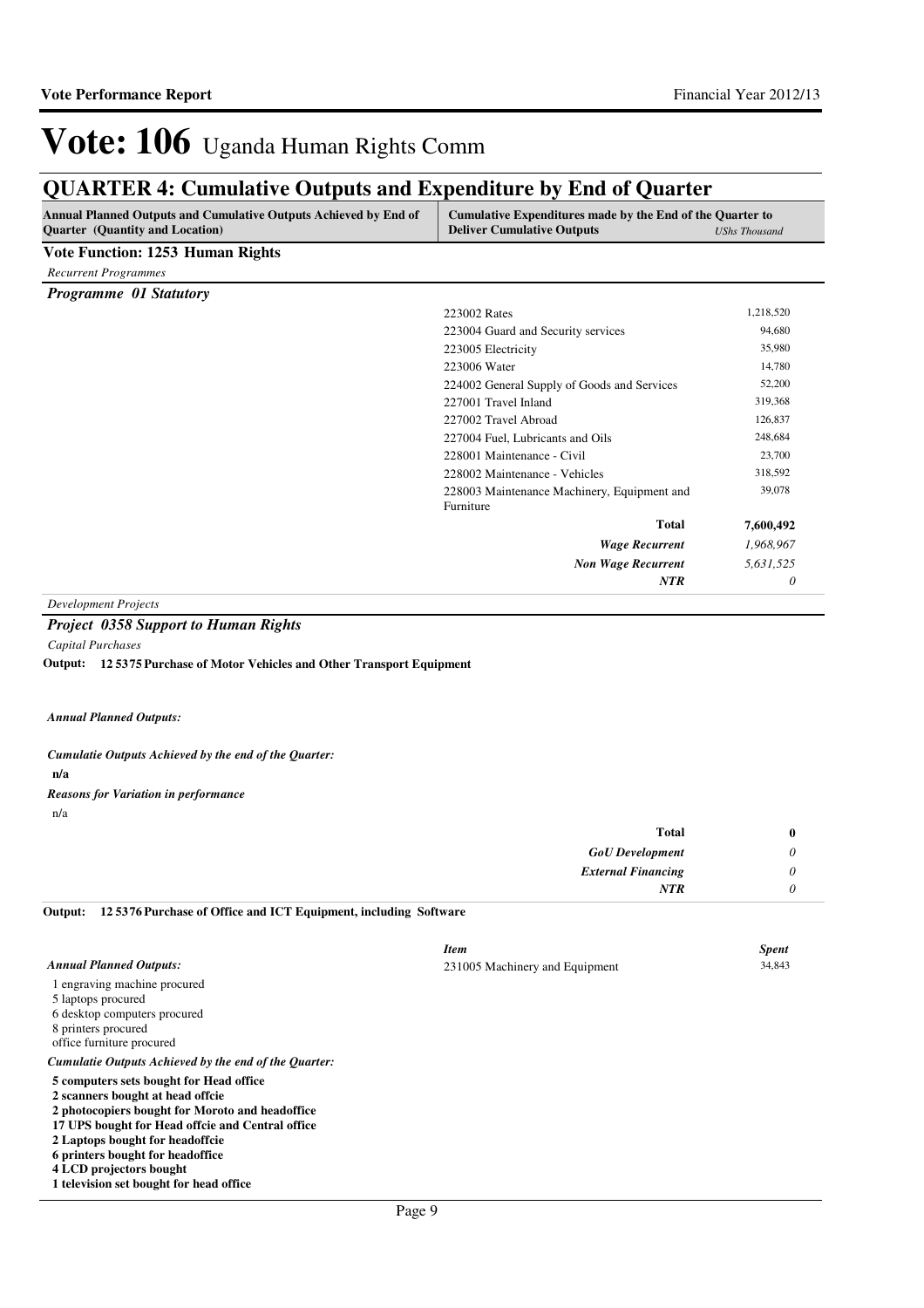## **QUARTER 4: Cumulative Outputs and Expenditure by End of Quarter**

| Annual Planned Outputs and Cumulative Outputs Achieved by End of<br><b>Quarter</b> (Quantity and Location) | Cumulative Expenditures made by the End of the Quarter to<br><b>Deliver Cumulative Outputs</b> | <b>UShs Thousand</b> |
|------------------------------------------------------------------------------------------------------------|------------------------------------------------------------------------------------------------|----------------------|
| <b>Vote Function: 1253 Human Rights</b>                                                                    |                                                                                                |                      |
| <b>Recurrent Programmes</b>                                                                                |                                                                                                |                      |
| <b>Programme 01 Statutory</b>                                                                              |                                                                                                |                      |
|                                                                                                            | 223002 Rates                                                                                   | 1,218,520            |
|                                                                                                            | 223004 Guard and Security services                                                             | 94,680               |
|                                                                                                            | 223005 Electricity                                                                             | 35,980               |
|                                                                                                            | 223006 Water                                                                                   | 14,780               |
|                                                                                                            | 224002 General Supply of Goods and Services                                                    | 52,200               |
|                                                                                                            | 227001 Travel Inland                                                                           | 319,368              |
|                                                                                                            | 227002 Travel Abroad                                                                           | 126,837              |
|                                                                                                            | 227004 Fuel, Lubricants and Oils                                                               | 248,684              |
|                                                                                                            | 228001 Maintenance - Civil                                                                     | 23,700               |
|                                                                                                            | 228002 Maintenance - Vehicles                                                                  | 318,592              |
|                                                                                                            | 228003 Maintenance Machinery, Equipment and                                                    | 39,078               |
|                                                                                                            | Furniture                                                                                      |                      |
|                                                                                                            | <b>Total</b>                                                                                   | 7,600,492            |
|                                                                                                            | <b>Wage Recurrent</b>                                                                          | 1,968,967            |
|                                                                                                            | <b>Non Wage Recurrent</b>                                                                      | 5,631,525            |
|                                                                                                            | <b>NTR</b>                                                                                     | 0                    |

*Development Projects*

*Capital Purchases*

**12 5375 Purchase of Motor Vehicles and Other Transport Equipment Output:**

*Annual Planned Outputs:*

**n/a** *Cumulatie Outputs Achieved by the end of the Quarter: Reasons for Variation in performance*

n/a

| <b>Total</b>              | $\bf{0}$ |
|---------------------------|----------|
| <b>GoU</b> Development    | υ        |
| <b>External Financing</b> |          |
| <b>NTR</b>                |          |

**12 5376 Purchase of Office and ICT Equipment, including Software Output:**

|                                                       | <b>Item</b>                    | <b>Spent</b> |
|-------------------------------------------------------|--------------------------------|--------------|
| <b>Annual Planned Outputs:</b>                        | 231005 Machinery and Equipment | 34,843       |
| 1 engraving machine procured                          |                                |              |
| 5 laptops procured                                    |                                |              |
| 6 desktop computers procured                          |                                |              |
| 8 printers procured                                   |                                |              |
| office furniture procured                             |                                |              |
| Cumulatie Outputs Achieved by the end of the Ouarter: |                                |              |
| 5 computers sets bought for Head office               |                                |              |
| 2 scanners bought at head offcie                      |                                |              |
| 2 photocopiers bought for Moroto and headoffice       |                                |              |
| 17 UPS bought for Head offcie and Central office      |                                |              |
| 2 Laptops bought for headoffcie                       |                                |              |
| 6 printers bought for headoffice                      |                                |              |
| 4 LCD projectors bought                               |                                |              |
| 1 television set bought for head office               |                                |              |

*Project 0358 Support to Human Rights*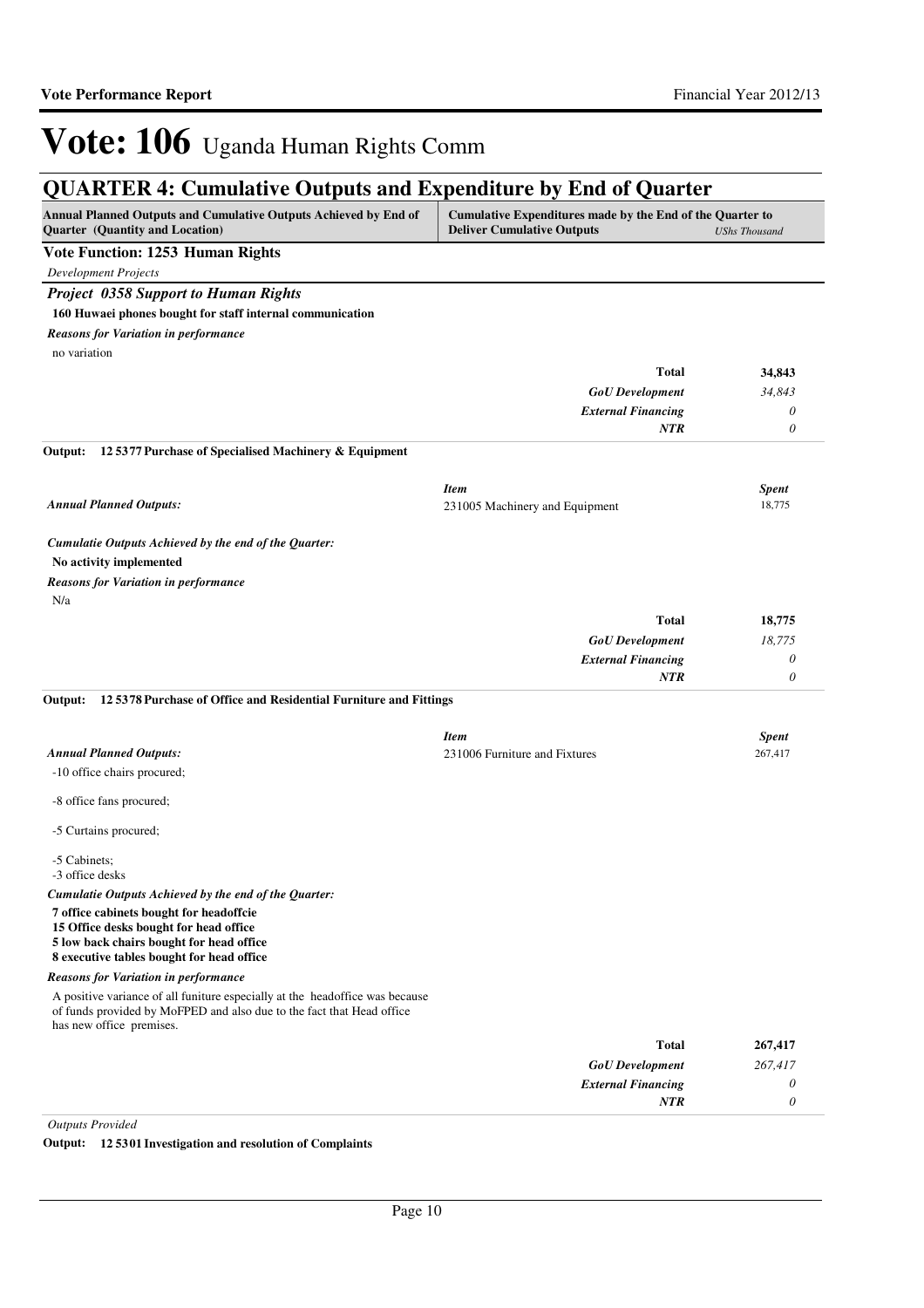## **QUARTER 4: Cumulative Outputs and Expenditure by End of Quarter**

| Annual Planned Outputs and Cumulative Outputs Achieved by End of<br>Quarter (Quantity and Location)                                                                               | Cumulative Expenditures made by the End of the Quarter to<br><b>Deliver Cumulative Outputs</b><br><b>UShs Thousand</b> |              |
|-----------------------------------------------------------------------------------------------------------------------------------------------------------------------------------|------------------------------------------------------------------------------------------------------------------------|--------------|
| Vote Function: 1253 Human Rights                                                                                                                                                  |                                                                                                                        |              |
| <b>Development Projects</b>                                                                                                                                                       |                                                                                                                        |              |
| <b>Project 0358 Support to Human Rights</b>                                                                                                                                       |                                                                                                                        |              |
| 160 Huwaei phones bought for staff internal communication                                                                                                                         |                                                                                                                        |              |
| <b>Reasons for Variation in performance</b>                                                                                                                                       |                                                                                                                        |              |
| no variation                                                                                                                                                                      |                                                                                                                        |              |
|                                                                                                                                                                                   | <b>Total</b>                                                                                                           | 34,843       |
|                                                                                                                                                                                   | <b>GoU</b> Development                                                                                                 | 34,843       |
|                                                                                                                                                                                   | <b>External Financing</b>                                                                                              | 0            |
|                                                                                                                                                                                   | <b>NTR</b>                                                                                                             | 0            |
| 125377 Purchase of Specialised Machinery & Equipment<br>Output:                                                                                                                   |                                                                                                                        |              |
|                                                                                                                                                                                   | <b>Item</b>                                                                                                            | <b>Spent</b> |
| <b>Annual Planned Outputs:</b>                                                                                                                                                    | 231005 Machinery and Equipment                                                                                         | 18,775       |
| Cumulatie Outputs Achieved by the end of the Quarter:                                                                                                                             |                                                                                                                        |              |
| No activity implemented                                                                                                                                                           |                                                                                                                        |              |
| <b>Reasons for Variation in performance</b>                                                                                                                                       |                                                                                                                        |              |
| N/a                                                                                                                                                                               |                                                                                                                        |              |
|                                                                                                                                                                                   | <b>Total</b>                                                                                                           | 18,775       |
|                                                                                                                                                                                   | <b>GoU</b> Development                                                                                                 | 18,775       |
|                                                                                                                                                                                   | <b>External Financing</b>                                                                                              | 0            |
|                                                                                                                                                                                   | <b>NTR</b>                                                                                                             | 0            |
| 12 5378 Purchase of Office and Residential Furniture and Fittings<br>Output:                                                                                                      |                                                                                                                        |              |
|                                                                                                                                                                                   | <b>Item</b>                                                                                                            | <b>Spent</b> |
| <b>Annual Planned Outputs:</b>                                                                                                                                                    | 231006 Furniture and Fixtures                                                                                          | 267,417      |
| -10 office chairs procured;                                                                                                                                                       |                                                                                                                        |              |
| -8 office fans procured;                                                                                                                                                          |                                                                                                                        |              |
| -5 Curtains procured;                                                                                                                                                             |                                                                                                                        |              |
| -5 Cabinets;<br>-3 office desks                                                                                                                                                   |                                                                                                                        |              |
| Cumulatie Outputs Achieved by the end of the Quarter:                                                                                                                             |                                                                                                                        |              |
| 7 office cabinets bought for headoffcie<br>15 Office desks bought for head office                                                                                                 |                                                                                                                        |              |
| 5 low back chairs bought for head office<br>8 executive tables bought for head office                                                                                             |                                                                                                                        |              |
| <b>Reasons for Variation in performance</b>                                                                                                                                       |                                                                                                                        |              |
| A positive variance of all funiture especially at the headoffice was because<br>of funds provided by MoFPED and also due to the fact that Head office<br>has new office premises. |                                                                                                                        |              |
|                                                                                                                                                                                   | <b>Total</b>                                                                                                           | 267,417      |
|                                                                                                                                                                                   | <b>GoU</b> Development                                                                                                 | 267,417      |
|                                                                                                                                                                                   | <b>External Financing</b>                                                                                              | 0            |
|                                                                                                                                                                                   | NTR                                                                                                                    | 0            |

*Outputs Provided*

**Output: 12 5301 Investigation and resolution of Complaints**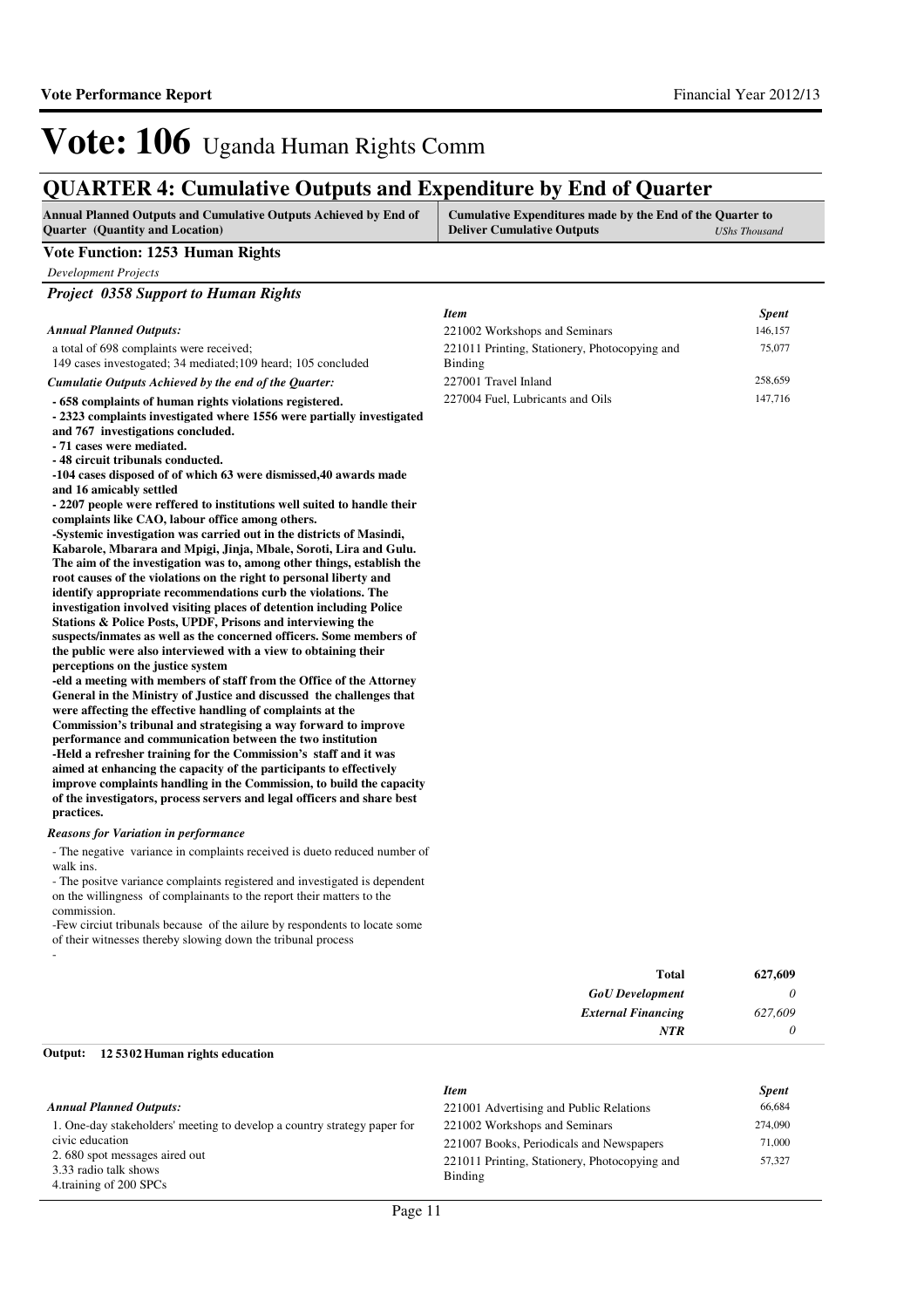## **QUARTER 4: Cumulative Outputs and Expenditure by End of Quarter**

| Annual Planned Outputs and Cumulative Outputs Achieved by End of<br><b>Quarter</b> (Quantity and Location)                                                                                                                                                                                                                                                                                                                                                                                                                                                                                                                                                                                                                                                                                                                                                                                                                                                                                                                                                                                                                                                                                                                                                                                                                                                                                                                                                                                                                                                                                                                                                                                                                                                                                                                                                                                                                                      | Cumulative Expenditures made by the End of the Quarter to<br><b>Deliver Cumulative Outputs</b> | <b>UShs Thousand</b> |
|-------------------------------------------------------------------------------------------------------------------------------------------------------------------------------------------------------------------------------------------------------------------------------------------------------------------------------------------------------------------------------------------------------------------------------------------------------------------------------------------------------------------------------------------------------------------------------------------------------------------------------------------------------------------------------------------------------------------------------------------------------------------------------------------------------------------------------------------------------------------------------------------------------------------------------------------------------------------------------------------------------------------------------------------------------------------------------------------------------------------------------------------------------------------------------------------------------------------------------------------------------------------------------------------------------------------------------------------------------------------------------------------------------------------------------------------------------------------------------------------------------------------------------------------------------------------------------------------------------------------------------------------------------------------------------------------------------------------------------------------------------------------------------------------------------------------------------------------------------------------------------------------------------------------------------------------------|------------------------------------------------------------------------------------------------|----------------------|
| Vote Function: 1253 Human Rights                                                                                                                                                                                                                                                                                                                                                                                                                                                                                                                                                                                                                                                                                                                                                                                                                                                                                                                                                                                                                                                                                                                                                                                                                                                                                                                                                                                                                                                                                                                                                                                                                                                                                                                                                                                                                                                                                                                |                                                                                                |                      |
| <b>Development Projects</b>                                                                                                                                                                                                                                                                                                                                                                                                                                                                                                                                                                                                                                                                                                                                                                                                                                                                                                                                                                                                                                                                                                                                                                                                                                                                                                                                                                                                                                                                                                                                                                                                                                                                                                                                                                                                                                                                                                                     |                                                                                                |                      |
| <b>Project 0358 Support to Human Rights</b>                                                                                                                                                                                                                                                                                                                                                                                                                                                                                                                                                                                                                                                                                                                                                                                                                                                                                                                                                                                                                                                                                                                                                                                                                                                                                                                                                                                                                                                                                                                                                                                                                                                                                                                                                                                                                                                                                                     |                                                                                                |                      |
|                                                                                                                                                                                                                                                                                                                                                                                                                                                                                                                                                                                                                                                                                                                                                                                                                                                                                                                                                                                                                                                                                                                                                                                                                                                                                                                                                                                                                                                                                                                                                                                                                                                                                                                                                                                                                                                                                                                                                 | <b>Item</b>                                                                                    | <b>Spent</b>         |
| <b>Annual Planned Outputs:</b>                                                                                                                                                                                                                                                                                                                                                                                                                                                                                                                                                                                                                                                                                                                                                                                                                                                                                                                                                                                                                                                                                                                                                                                                                                                                                                                                                                                                                                                                                                                                                                                                                                                                                                                                                                                                                                                                                                                  | 221002 Workshops and Seminars                                                                  | 146,157              |
| a total of 698 complaints were received;                                                                                                                                                                                                                                                                                                                                                                                                                                                                                                                                                                                                                                                                                                                                                                                                                                                                                                                                                                                                                                                                                                                                                                                                                                                                                                                                                                                                                                                                                                                                                                                                                                                                                                                                                                                                                                                                                                        | 221011 Printing, Stationery, Photocopying and                                                  | 75,077               |
| 149 cases investogated; 34 mediated; 109 heard; 105 concluded                                                                                                                                                                                                                                                                                                                                                                                                                                                                                                                                                                                                                                                                                                                                                                                                                                                                                                                                                                                                                                                                                                                                                                                                                                                                                                                                                                                                                                                                                                                                                                                                                                                                                                                                                                                                                                                                                   | Binding                                                                                        |                      |
| Cumulatie Outputs Achieved by the end of the Quarter:                                                                                                                                                                                                                                                                                                                                                                                                                                                                                                                                                                                                                                                                                                                                                                                                                                                                                                                                                                                                                                                                                                                                                                                                                                                                                                                                                                                                                                                                                                                                                                                                                                                                                                                                                                                                                                                                                           | 227001 Travel Inland                                                                           | 258,659              |
| - 658 complaints of human rights violations registered.<br>- 2323 complaints investigated where 1556 were partially investigated<br>and 767 investigations concluded.<br>- 71 cases were mediated.<br>- 48 circuit tribunals conducted.<br>-104 cases disposed of of which 63 were dismissed, 40 awards made<br>and 16 amicably settled<br>- 2207 people were reffered to institutions well suited to handle their<br>complaints like CAO, labour office among others.<br>-Systemic investigation was carried out in the districts of Masindi,<br>Kabarole, Mbarara and Mpigi, Jinja, Mbale, Soroti, Lira and Gulu.<br>The aim of the investigation was to, among other things, establish the<br>root causes of the violations on the right to personal liberty and<br>identify appropriate recommendations curb the violations. The<br>investigation involved visiting places of detention including Police<br>Stations & Police Posts, UPDF, Prisons and interviewing the<br>suspects/inmates as well as the concerned officers. Some members of<br>the public were also interviewed with a view to obtaining their<br>perceptions on the justice system<br>-eld a meeting with members of staff from the Office of the Attorney<br>General in the Ministry of Justice and discussed the challenges that<br>were affecting the effective handling of complaints at the<br>Commission's tribunal and strategising a way forward to improve<br>performance and communication between the two institution<br>-Held a refresher training for the Commission's staff and it was<br>aimed at enhancing the capacity of the participants to effectively<br>improve complaints handling in the Commission, to build the capacity<br>of the investigators, process servers and legal officers and share best<br>practices.<br><b>Reasons for Variation in performance</b><br>- The negative variance in complaints received is dueto reduced number of | 227004 Fuel, Lubricants and Oils                                                               | 147,716              |
| walk ins.                                                                                                                                                                                                                                                                                                                                                                                                                                                                                                                                                                                                                                                                                                                                                                                                                                                                                                                                                                                                                                                                                                                                                                                                                                                                                                                                                                                                                                                                                                                                                                                                                                                                                                                                                                                                                                                                                                                                       |                                                                                                |                      |
| - The positive variance complaints registered and investigated is dependent<br>on the willingness of complainants to the report their matters to the<br>commission.                                                                                                                                                                                                                                                                                                                                                                                                                                                                                                                                                                                                                                                                                                                                                                                                                                                                                                                                                                                                                                                                                                                                                                                                                                                                                                                                                                                                                                                                                                                                                                                                                                                                                                                                                                             |                                                                                                |                      |
| -Few circiut tribunals because of the ailure by respondents to locate some<br>of their witnesses thereby slowing down the tribunal process                                                                                                                                                                                                                                                                                                                                                                                                                                                                                                                                                                                                                                                                                                                                                                                                                                                                                                                                                                                                                                                                                                                                                                                                                                                                                                                                                                                                                                                                                                                                                                                                                                                                                                                                                                                                      |                                                                                                |                      |
|                                                                                                                                                                                                                                                                                                                                                                                                                                                                                                                                                                                                                                                                                                                                                                                                                                                                                                                                                                                                                                                                                                                                                                                                                                                                                                                                                                                                                                                                                                                                                                                                                                                                                                                                                                                                                                                                                                                                                 | <b>Total</b>                                                                                   | 627,609              |
|                                                                                                                                                                                                                                                                                                                                                                                                                                                                                                                                                                                                                                                                                                                                                                                                                                                                                                                                                                                                                                                                                                                                                                                                                                                                                                                                                                                                                                                                                                                                                                                                                                                                                                                                                                                                                                                                                                                                                 | <b>GoU</b> Development                                                                         | 0                    |
|                                                                                                                                                                                                                                                                                                                                                                                                                                                                                                                                                                                                                                                                                                                                                                                                                                                                                                                                                                                                                                                                                                                                                                                                                                                                                                                                                                                                                                                                                                                                                                                                                                                                                                                                                                                                                                                                                                                                                 | <b>External Financing</b>                                                                      | 627,609              |
|                                                                                                                                                                                                                                                                                                                                                                                                                                                                                                                                                                                                                                                                                                                                                                                                                                                                                                                                                                                                                                                                                                                                                                                                                                                                                                                                                                                                                                                                                                                                                                                                                                                                                                                                                                                                                                                                                                                                                 | <b>NTR</b>                                                                                     | 0                    |
|                                                                                                                                                                                                                                                                                                                                                                                                                                                                                                                                                                                                                                                                                                                                                                                                                                                                                                                                                                                                                                                                                                                                                                                                                                                                                                                                                                                                                                                                                                                                                                                                                                                                                                                                                                                                                                                                                                                                                 |                                                                                                |                      |

#### **12 5302 Human rights education Output:**

| <b>Annual Planned Outputs:</b>                                                                                                                                                  | <b>Item</b><br>221001 Advertising and Public Relations                                                                                | <b>Spent</b><br>66,684      |
|---------------------------------------------------------------------------------------------------------------------------------------------------------------------------------|---------------------------------------------------------------------------------------------------------------------------------------|-----------------------------|
| 1. One-day stakeholders' meeting to develop a country strategy paper for<br>civic education<br>2.680 spot messages aired out<br>3.33 radio talk shows<br>4.training of 200 SPCs | 221002 Workshops and Seminars<br>221007 Books, Periodicals and Newspapers<br>221011 Printing, Stationery, Photocopying and<br>Binding | 274,090<br>71,000<br>57.327 |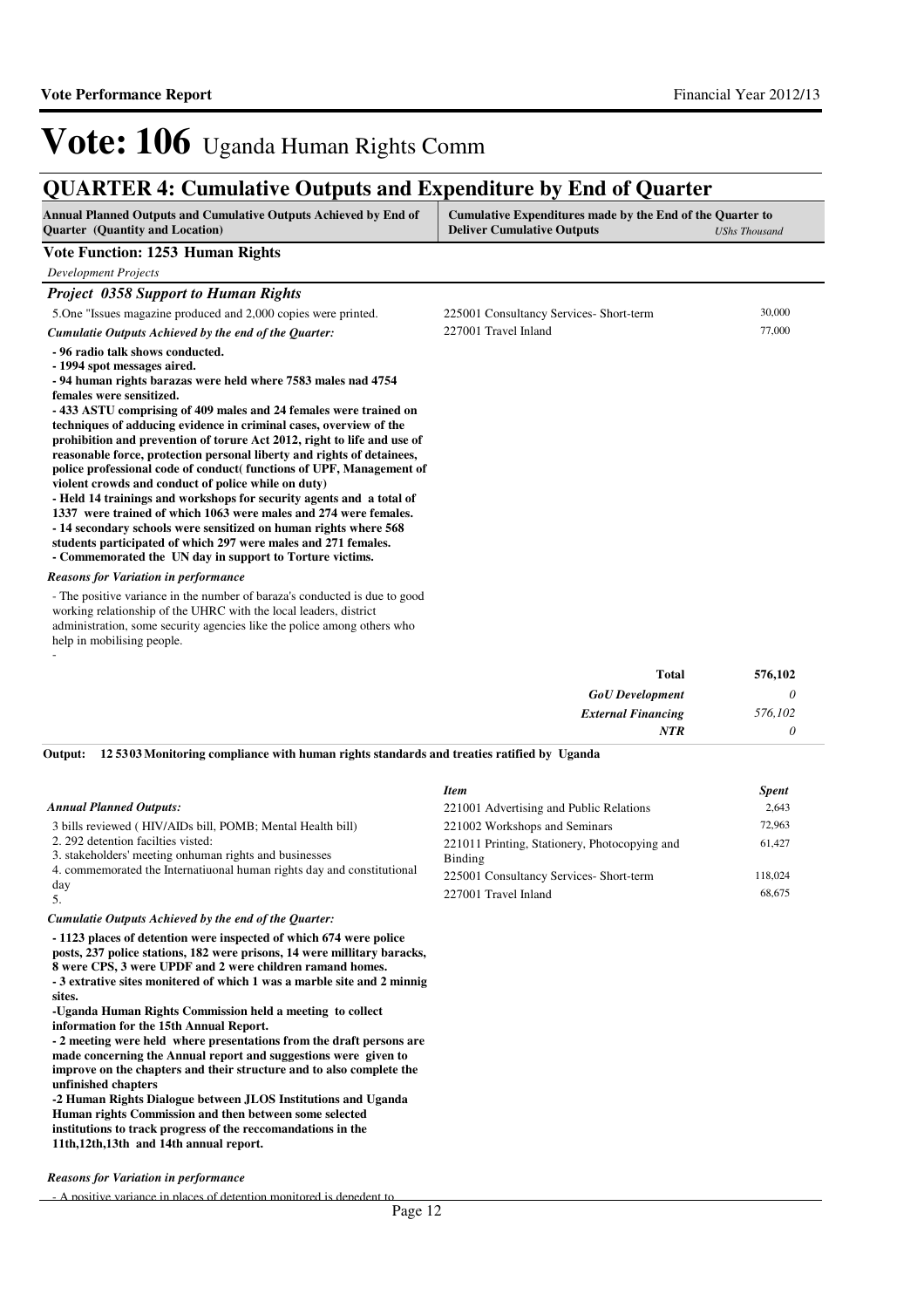### **QUARTER 4: Cumulative Outputs and Expenditure by End of Quarter**

| <b>Annual Planned Outputs and Cumulative Outputs Achieved by End of</b> | Cumulative Expenditures made by the End of the Quarter to |               |
|-------------------------------------------------------------------------|-----------------------------------------------------------|---------------|
| <b>Ouarter</b> (Quantity and Location)                                  | <b>Deliver Cumulative Outputs</b>                         | UShs Thousand |

#### **Vote Function: 1253 Human Rights**

*Development Projects*

#### *Project 0358 Support to Human Rights*

5.One "Issues magazine produced and 2,000 copies were printed. **- 96 radio talk shows conducted. - 1994 spot messages aired.** *Cumulatie Outputs Achieved by the end of the Quarter:* 225001 Consultancy Services- Short-term 30,000 227001 Travel Inland 77,000

**- 94 human rights barazas were held where 7583 males nad 4754 females were sensitized.**

**- 433 ASTU comprising of 409 males and 24 females were trained on techniques of adducing evidence in criminal cases, overview of the prohibition and prevention of torure Act 2012, right to life and use of reasonable force, protection personal liberty and rights of detainees, police professional code of conduct( functions of UPF, Management of violent crowds and conduct of police while on duty)**

**- Held 14 trainings and workshops for security agents and a total of 1337 were trained of which 1063 were males and 274 were females. - 14 secondary schools were sensitized on human rights where 568 students participated of which 297 were males and 271 females.**

**- Commemorated the UN day in support to Torture victims.**

#### *Reasons for Variation in performance*

-

- The positive variance in the number of baraza's conducted is due to good working relationship of the UHRC with the local leaders, district administration, some security agencies like the police among others who help in mobilising people.

| Total                     | 576,102 |
|---------------------------|---------|
| <b>GoU</b> Development    |         |
| <b>External Financing</b> | 576,102 |
| <b>NTR</b>                |         |

**12 5303 Monitoring compliance with human rights standards and treaties ratified by Uganda Output:**

|                                                                                              | <b>Item</b>                                              | <b>Spent</b> |
|----------------------------------------------------------------------------------------------|----------------------------------------------------------|--------------|
| <b>Annual Planned Outputs:</b>                                                               | 221001 Advertising and Public Relations                  | 2.643        |
| 3 bills reviewed (HIV/AIDs bill, POMB; Mental Health bill)                                   | 221002 Workshops and Seminars                            | 72.963       |
| 2. 292 detention facilies visted:<br>3. stakeholders' meeting on human rights and businesses | 221011 Printing, Stationery, Photocopying and<br>Binding | 61.427       |
| 4. commemorated the Internatiuonal human rights day and constitutional                       | 225001 Consultancy Services-Short-term                   | 118,024      |
| day                                                                                          | 227001 Travel Inland                                     | 68,675       |

#### *Cumulatie Outputs Achieved by the end of the Quarter:*

**- 1123 places of detention were inspected of which 674 were police posts, 237 police stations, 182 were prisons, 14 were millitary baracks, 8 were CPS, 3 were UPDF and 2 were children ramand homes. - 3 extrative sites monitered of which 1 was a marble site and 2 minnig sites.**

**-Uganda Human Rights Commission held a meeting to collect information for the 15th Annual Report.**

**- 2 meeting were held where presentations from the draft persons are made concerning the Annual report and suggestions were given to improve on the chapters and their structure and to also complete the unfinished chapters**

**-2 Human Rights Dialogue between JLOS Institutions and Uganda Human rights Commission and then between some selected institutions to track progress of the reccomandations in the 11th,12th,13th and 14th annual report.**

#### *Reasons for Variation in performance*

- A nositive variance in places of detention monitored is depedent to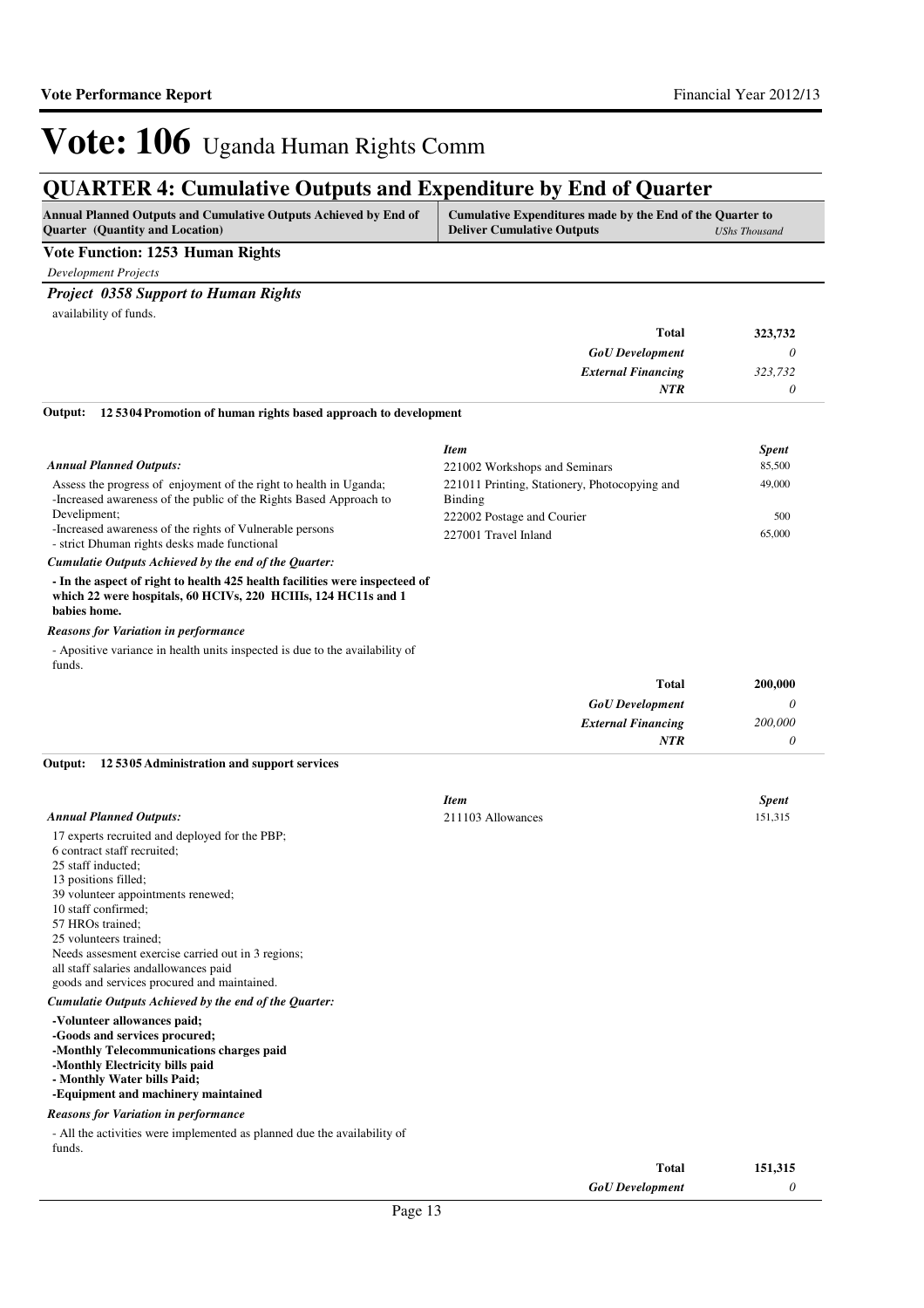### **QUARTER 4: Cumulative Outputs and Expenditure by End of Quarter**

| Annual Planned Outputs and Cumulative Outputs Achieved by End of | Cumulative Expenditures made by the End of the Quarter to |                      |
|------------------------------------------------------------------|-----------------------------------------------------------|----------------------|
| <b>Ouarter</b> (Quantity and Location)                           | <b>Deliver Cumulative Outputs</b>                         | <b>UShs Thousand</b> |

#### **Vote Function: 1253 Human Rights**

*Development Projects*

#### *Project 0358 Support to Human Rights*

availability of funds.

| 323,732 | <b>Total</b>              |
|---------|---------------------------|
|         | <b>GoU</b> Development    |
| 323,732 | <b>External Financing</b> |
|         | <b>NTR</b>                |
|         | $ -$<br>.                 |

#### **12 5304 Promotion of human rights based approach to development Output:**

|                                                                                                                                          | <b>Item</b>                                                     | <b>Spent</b> |
|------------------------------------------------------------------------------------------------------------------------------------------|-----------------------------------------------------------------|--------------|
| <b>Annual Planned Outputs:</b>                                                                                                           | 221002 Workshops and Seminars                                   | 85,500       |
| Assess the progress of enjoyment of the right to health in Uganda;<br>-Increased awareness of the public of the Rights Based Approach to | 221011 Printing, Stationery, Photocopying and<br><b>Binding</b> | 49,000       |
| Develipment:                                                                                                                             | 222002 Postage and Courier                                      | 500          |
| -Increased awareness of the rights of Vulnerable persons<br>- strict Dhuman rights desks made functional                                 | 227001 Travel Inland                                            | 65,000       |
| Cumulatio Qutpute Achieved by the end of the Quarter.                                                                                    |                                                                 |              |

**- In the aspect of right to health 425 health facilities were inspecteed of which 22 were hospitals, 60 HCIVs, 220 HCIIIs, 124 HC11s and 1 babies home.** *Cumulatie Outputs Achieved by the end of the Quarter:*

#### *Reasons for Variation in performance*

- Apositive variance in health units inspected is due to the availability of funds.

| 200,000 | <b>Total</b>              |
|---------|---------------------------|
|         | <b>GoU</b> Development    |
| 200,000 | <b>External Financing</b> |
|         | NTR                       |

#### **12 5305 Administration and support services Output:**

|                                                                                                                                                                                                                                                                                                                                                                                        | <b>Item</b>       | <b>Spent</b> |
|----------------------------------------------------------------------------------------------------------------------------------------------------------------------------------------------------------------------------------------------------------------------------------------------------------------------------------------------------------------------------------------|-------------------|--------------|
| <b>Annual Planned Outputs:</b>                                                                                                                                                                                                                                                                                                                                                         | 211103 Allowances | 151,315      |
| 17 experts recruited and deployed for the PBP;<br>6 contract staff recruited;<br>25 staff inducted;<br>13 positions filled;<br>39 volunteer appointments renewed;<br>10 staff confirmed:<br>57 HROs trained;<br>25 volunteers trained;<br>Needs assessment exercise carried out in 3 regions;<br>all staff salaries and allowances paid<br>goods and services procured and maintained. |                   |              |
| Cumulatie Outputs Achieved by the end of the Quarter:                                                                                                                                                                                                                                                                                                                                  |                   |              |
| -Volunteer allowances paid;<br>-Goods and services procured;<br>-Monthly Telecommunications charges paid<br>-Monthly Electricity bills paid<br>- Monthly Water bills Paid;<br>-Equipment and machinery maintained                                                                                                                                                                      |                   |              |
| <b>Reasons for Variation in performance</b><br>- All the activities were implemented as planned due the availability of<br>funds.                                                                                                                                                                                                                                                      |                   |              |

| <b>Total</b><br>151,315 |  |
|-------------------------|--|
| <b>GoU</b> Development  |  |
|                         |  |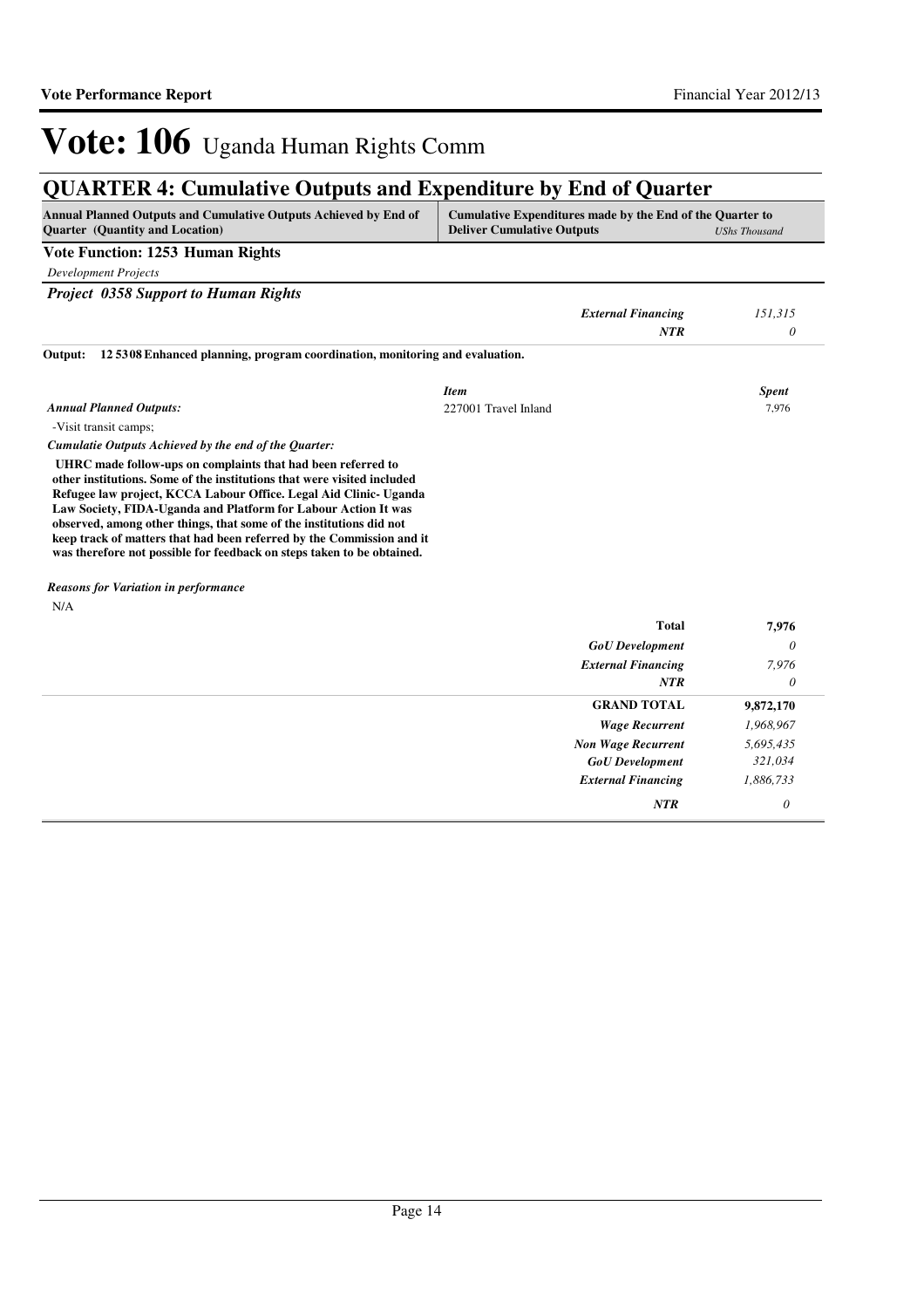## **QUARTER 4: Cumulative Outputs and Expenditure by End of Quarter**

| Annual Planned Outputs and Cumulative Outputs Achieved by End of<br>Quarter (Quantity and Location)                                                                                                                                                                                                                                                                                                                                                                                                      | Cumulative Expenditures made by the End of the Quarter to<br><b>Deliver Cumulative Outputs</b> |                           | <b>UShs Thousand</b> |
|----------------------------------------------------------------------------------------------------------------------------------------------------------------------------------------------------------------------------------------------------------------------------------------------------------------------------------------------------------------------------------------------------------------------------------------------------------------------------------------------------------|------------------------------------------------------------------------------------------------|---------------------------|----------------------|
| Vote Function: 1253 Human Rights                                                                                                                                                                                                                                                                                                                                                                                                                                                                         |                                                                                                |                           |                      |
| <b>Development Projects</b>                                                                                                                                                                                                                                                                                                                                                                                                                                                                              |                                                                                                |                           |                      |
| <b>Project 0358 Support to Human Rights</b>                                                                                                                                                                                                                                                                                                                                                                                                                                                              |                                                                                                |                           |                      |
|                                                                                                                                                                                                                                                                                                                                                                                                                                                                                                          |                                                                                                | <b>External Financing</b> | 151,315              |
|                                                                                                                                                                                                                                                                                                                                                                                                                                                                                                          |                                                                                                | <b>NTR</b>                | 0                    |
| 125308 Enhanced planning, program coordination, monitoring and evaluation.<br>Output:                                                                                                                                                                                                                                                                                                                                                                                                                    |                                                                                                |                           |                      |
|                                                                                                                                                                                                                                                                                                                                                                                                                                                                                                          | <b>Item</b>                                                                                    |                           | <b>Spent</b>         |
| <b>Annual Planned Outputs:</b>                                                                                                                                                                                                                                                                                                                                                                                                                                                                           | 227001 Travel Inland                                                                           |                           | 7,976                |
| -Visit transit camps;                                                                                                                                                                                                                                                                                                                                                                                                                                                                                    |                                                                                                |                           |                      |
| Cumulatie Outputs Achieved by the end of the Quarter:                                                                                                                                                                                                                                                                                                                                                                                                                                                    |                                                                                                |                           |                      |
| UHRC made follow-ups on complaints that had been referred to<br>other institutions. Some of the institutions that were visited included<br>Refugee law project, KCCA Labour Office. Legal Aid Clinic- Uganda<br>Law Society, FIDA-Uganda and Platform for Labour Action It was<br>observed, among other things, that some of the institutions did not<br>keep track of matters that had been referred by the Commission and it<br>was therefore not possible for feedback on steps taken to be obtained. |                                                                                                |                           |                      |
| <b>Reasons for Variation in performance</b>                                                                                                                                                                                                                                                                                                                                                                                                                                                              |                                                                                                |                           |                      |
| N/A                                                                                                                                                                                                                                                                                                                                                                                                                                                                                                      |                                                                                                |                           |                      |
|                                                                                                                                                                                                                                                                                                                                                                                                                                                                                                          |                                                                                                | <b>Total</b>              | 7,976                |
|                                                                                                                                                                                                                                                                                                                                                                                                                                                                                                          |                                                                                                | <b>GoU</b> Development    | $\theta$             |
|                                                                                                                                                                                                                                                                                                                                                                                                                                                                                                          |                                                                                                | <b>External Financing</b> | 7,976                |
|                                                                                                                                                                                                                                                                                                                                                                                                                                                                                                          |                                                                                                | <b>NTR</b>                | 0                    |
|                                                                                                                                                                                                                                                                                                                                                                                                                                                                                                          |                                                                                                | <b>GRAND TOTAL</b>        | 9,872,170            |
|                                                                                                                                                                                                                                                                                                                                                                                                                                                                                                          |                                                                                                | <b>Wage Recurrent</b>     | 1,968,967            |
|                                                                                                                                                                                                                                                                                                                                                                                                                                                                                                          |                                                                                                | <b>Non Wage Recurrent</b> | 5,695,435            |
|                                                                                                                                                                                                                                                                                                                                                                                                                                                                                                          |                                                                                                | <b>GoU</b> Development    | 321,034              |
|                                                                                                                                                                                                                                                                                                                                                                                                                                                                                                          |                                                                                                |                           |                      |
|                                                                                                                                                                                                                                                                                                                                                                                                                                                                                                          |                                                                                                | <b>External Financing</b> | 1,886,733            |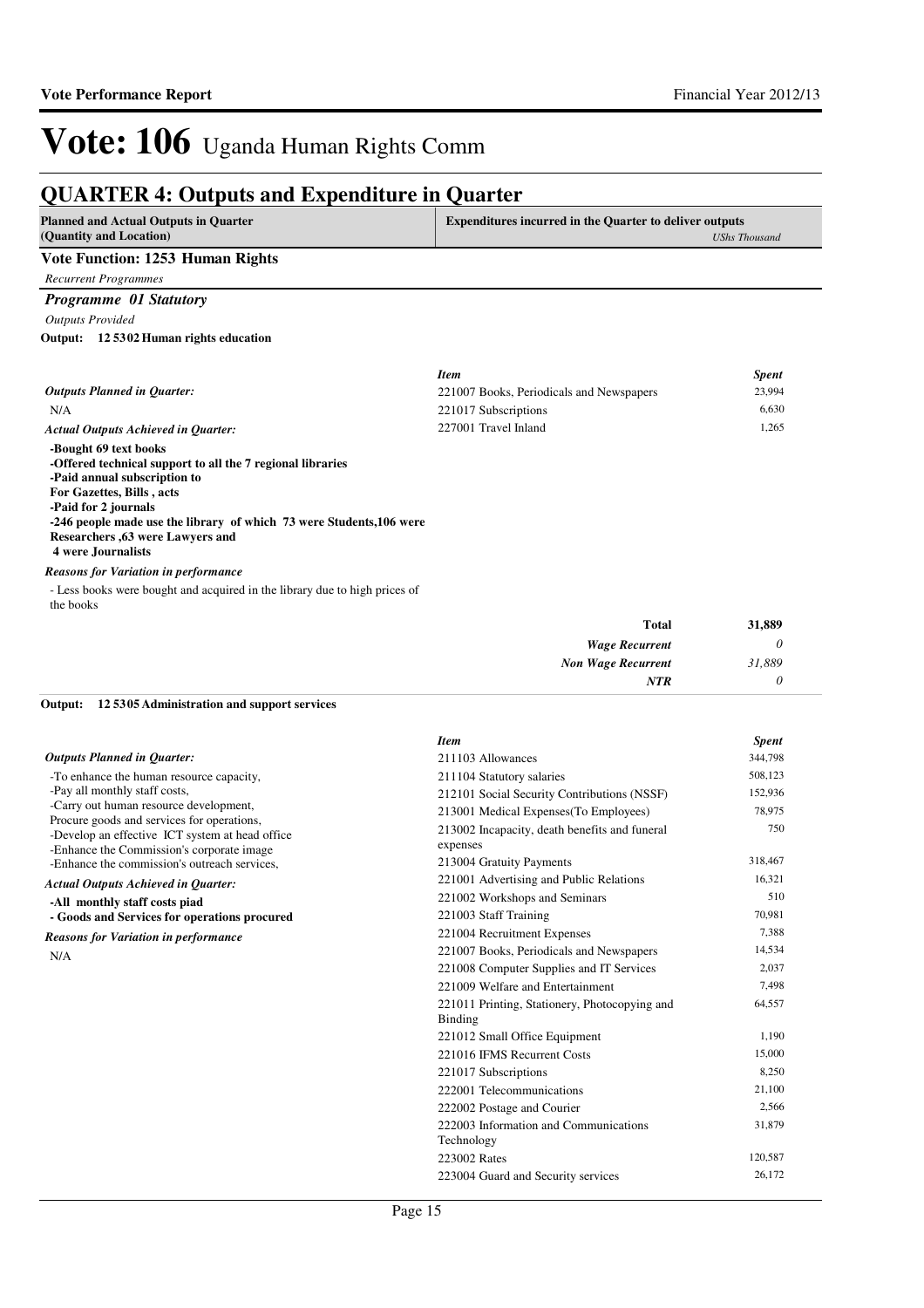### **QUARTER 4: Outputs and Expenditure in Quarter**

| OCANTER 7. Outputs and Expenditure in Quarter                                                                                                                                                                                                                                                                                                                     |                                                                |                      |
|-------------------------------------------------------------------------------------------------------------------------------------------------------------------------------------------------------------------------------------------------------------------------------------------------------------------------------------------------------------------|----------------------------------------------------------------|----------------------|
| <b>Planned and Actual Outputs in Quarter</b><br>(Quantity and Location)                                                                                                                                                                                                                                                                                           | <b>Expenditures incurred in the Quarter to deliver outputs</b> | <b>UShs Thousand</b> |
| Vote Function: 1253 Human Rights                                                                                                                                                                                                                                                                                                                                  |                                                                |                      |
| <b>Recurrent Programmes</b>                                                                                                                                                                                                                                                                                                                                       |                                                                |                      |
| <b>Programme 01 Statutory</b>                                                                                                                                                                                                                                                                                                                                     |                                                                |                      |
| <b>Outputs Provided</b>                                                                                                                                                                                                                                                                                                                                           |                                                                |                      |
| Output: 12 5302 Human rights education                                                                                                                                                                                                                                                                                                                            |                                                                |                      |
|                                                                                                                                                                                                                                                                                                                                                                   | <b>Item</b>                                                    | <b>Spent</b>         |
| <b>Outputs Planned in Quarter:</b>                                                                                                                                                                                                                                                                                                                                | 221007 Books, Periodicals and Newspapers                       | 23,994               |
| N/A                                                                                                                                                                                                                                                                                                                                                               | 221017 Subscriptions                                           | 6.630                |
| <b>Actual Outputs Achieved in Quarter:</b>                                                                                                                                                                                                                                                                                                                        | 227001 Travel Inland                                           | 1,265                |
| -Bought 69 text books<br>-Offered technical support to all the 7 regional libraries<br>-Paid annual subscription to<br>For Gazettes, Bills, acts<br>-Paid for 2 journals<br>-246 people made use the library of which 73 were Students, 106 were<br>Researchers , 63 were Lawyers and<br><b>4 were Journalists</b><br><b>Reasons for Variation in performance</b> |                                                                |                      |

- Less books were bought and acquired in the library due to high prices of the books

#### **12 5305 Administration and support services Output:**

|                                                                                                                                            | <b>Item</b>                                               | <b>Spent</b> |
|--------------------------------------------------------------------------------------------------------------------------------------------|-----------------------------------------------------------|--------------|
| <b>Outputs Planned in Ouarter:</b>                                                                                                         | 211103 Allowances                                         | 344,798      |
| -To enhance the human resource capacity,                                                                                                   | 211104 Statutory salaries                                 | 508,123      |
| -Pay all monthly staff costs,                                                                                                              | 212101 Social Security Contributions (NSSF)               | 152,936      |
| -Carry out human resource development,                                                                                                     | 213001 Medical Expenses (To Employees)                    | 78,975       |
| Procure goods and services for operations,<br>-Develop an effective ICT system at head office<br>-Enhance the Commission's corporate image | 213002 Incapacity, death benefits and funeral<br>expenses | 750          |
| -Enhance the commission's outreach services,                                                                                               | 213004 Gratuity Payments                                  | 318,467      |
| <b>Actual Outputs Achieved in Quarter:</b>                                                                                                 | 221001 Advertising and Public Relations                   | 16,321       |
| -All monthly staff costs piad                                                                                                              | 221002 Workshops and Seminars                             | 510          |
| - Goods and Services for operations procured                                                                                               | 221003 Staff Training                                     | 70,981       |
| <b>Reasons for Variation in performance</b>                                                                                                | 221004 Recruitment Expenses                               | 7,388        |
| N/A                                                                                                                                        | 221007 Books, Periodicals and Newspapers                  | 14,534       |
|                                                                                                                                            | 221008 Computer Supplies and IT Services                  | 2,037        |
|                                                                                                                                            | 221009 Welfare and Entertainment                          | 7,498        |
|                                                                                                                                            | 221011 Printing, Stationery, Photocopying and<br>Binding  | 64,557       |
|                                                                                                                                            | 221012 Small Office Equipment                             | 1,190        |
|                                                                                                                                            | 221016 IFMS Recurrent Costs                               | 15,000       |
|                                                                                                                                            | 221017 Subscriptions                                      | 8,250        |
|                                                                                                                                            | 222001 Telecommunications                                 | 21,100       |
|                                                                                                                                            | 222002 Postage and Courier                                | 2,566        |
|                                                                                                                                            | 222003 Information and Communications                     | 31,879       |
|                                                                                                                                            | Technology                                                |              |
|                                                                                                                                            | 223002 Rates                                              | 120,587      |
|                                                                                                                                            | 223004 Guard and Security services                        | 26,172       |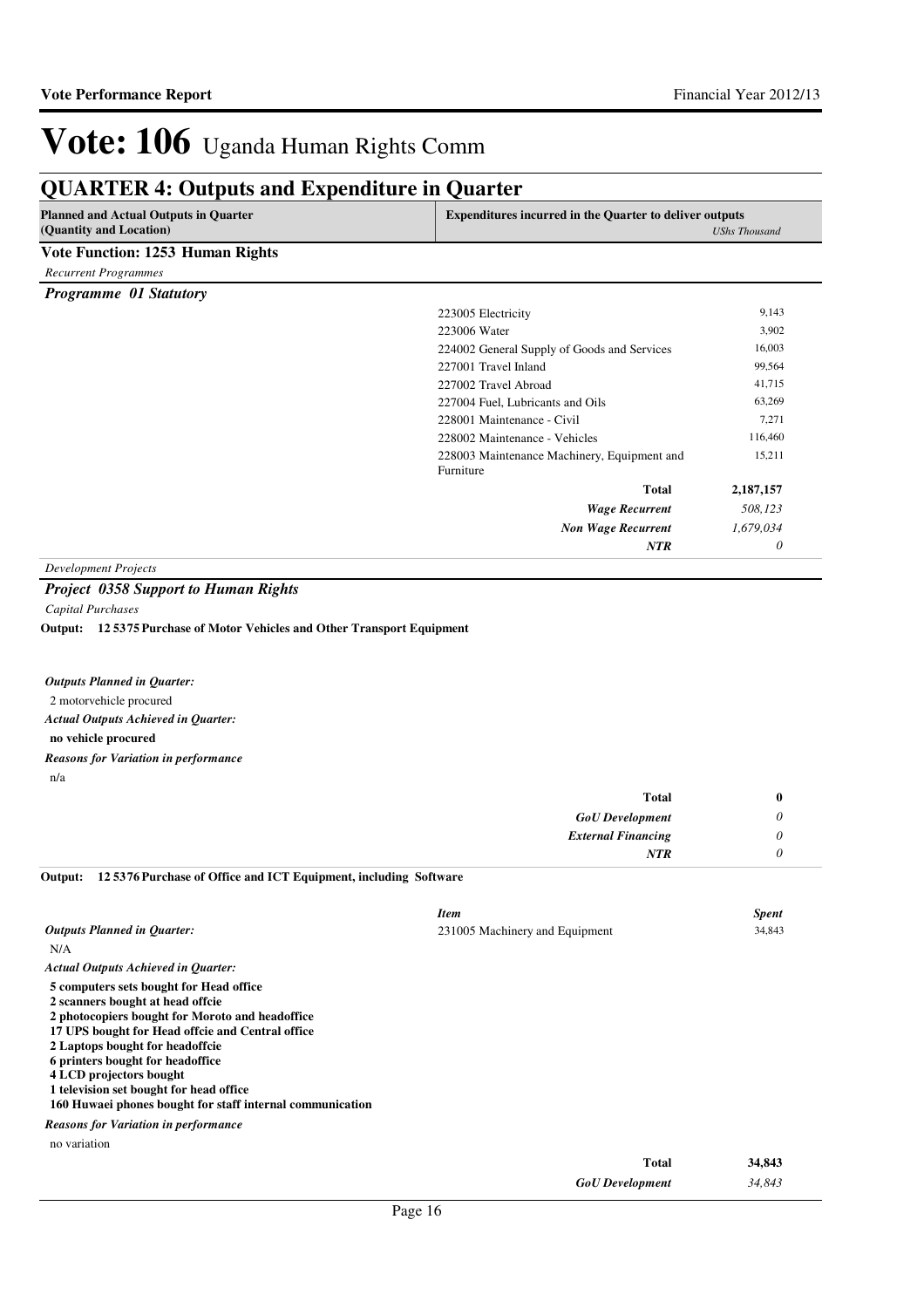## **QUARTER 4: Outputs and Expenditure in Quarter**

| <b>Planned and Actual Outputs in Quarter</b> |                                             | <b>Expenditures incurred in the Quarter to deliver outputs</b> |  |
|----------------------------------------------|---------------------------------------------|----------------------------------------------------------------|--|
| (Quantity and Location)                      |                                             | <b>UShs Thousand</b>                                           |  |
| <b>Vote Function: 1253 Human Rights</b>      |                                             |                                                                |  |
| <b>Recurrent Programmes</b>                  |                                             |                                                                |  |
| Programme 01 Statutory                       |                                             |                                                                |  |
|                                              | 223005 Electricity                          | 9,143                                                          |  |
|                                              | 223006 Water                                | 3,902                                                          |  |
|                                              | 224002 General Supply of Goods and Services | 16,003                                                         |  |
|                                              | 227001 Travel Inland                        | 99,564                                                         |  |
|                                              | 227002 Travel Abroad                        | 41,715                                                         |  |
|                                              | 227004 Fuel, Lubricants and Oils            | 63,269                                                         |  |
|                                              | 228001 Maintenance - Civil                  | 7,271                                                          |  |
|                                              | 228002 Maintenance - Vehicles               | 116,460                                                        |  |
|                                              | 228003 Maintenance Machinery, Equipment and | 15,211                                                         |  |
|                                              | Furniture                                   |                                                                |  |
|                                              | <b>Total</b>                                | 2,187,157                                                      |  |
|                                              | <b>Wage Recurrent</b>                       | 508,123                                                        |  |
|                                              | <b>Non Wage Recurrent</b>                   | 1,679,034                                                      |  |
|                                              | <b>NTR</b>                                  | 0                                                              |  |

*Development Projects*

#### *Project 0358 Support to Human Rights*

*Capital Purchases*

**12 5375 Purchase of Motor Vehicles and Other Transport Equipment Output:**

| <b>Outputs Planned in Ouarter:</b>                 |
|----------------------------------------------------|
| 2 motorvehicle procured                            |
| <b>Actual Outputs Achieved in Ouarter:</b>         |
| no vehicle procured                                |
| <b>Reasons for Variation in performance</b><br>n/a |
|                                                    |

| <b>Total</b>              | о |
|---------------------------|---|
| <b>GoU</b> Development    |   |
| <b>External Financing</b> |   |
| <b>NTR</b>                |   |

| Output: 125376 Purchase of Office and ICT Equipment, including Software |  |  |
|-------------------------------------------------------------------------|--|--|

|                                                                                                                                                                                                                                                                                                                                                                                              | <b>Item</b>                    | <b>Spent</b> |
|----------------------------------------------------------------------------------------------------------------------------------------------------------------------------------------------------------------------------------------------------------------------------------------------------------------------------------------------------------------------------------------------|--------------------------------|--------------|
| <b>Outputs Planned in Quarter:</b>                                                                                                                                                                                                                                                                                                                                                           | 231005 Machinery and Equipment | 34,843       |
| N/A                                                                                                                                                                                                                                                                                                                                                                                          |                                |              |
| <b>Actual Outputs Achieved in Quarter:</b>                                                                                                                                                                                                                                                                                                                                                   |                                |              |
| 5 computers sets bought for Head office<br>2 scanners bought at head offcie<br>2 photocopiers bought for Moroto and headoffice<br>17 UPS bought for Head offcie and Central office<br>2 Laptops bought for headoffcie<br>6 printers bought for headoffice<br>4 LCD projectors bought<br>1 television set bought for head office<br>160 Huwaei phones bought for staff internal communication |                                |              |
| <b>Reasons for Variation in performance</b>                                                                                                                                                                                                                                                                                                                                                  |                                |              |
| no variation                                                                                                                                                                                                                                                                                                                                                                                 |                                |              |
|                                                                                                                                                                                                                                                                                                                                                                                              | <b>Total</b>                   | 34,843       |
|                                                                                                                                                                                                                                                                                                                                                                                              | <b>GoU</b> Development         | 34,843       |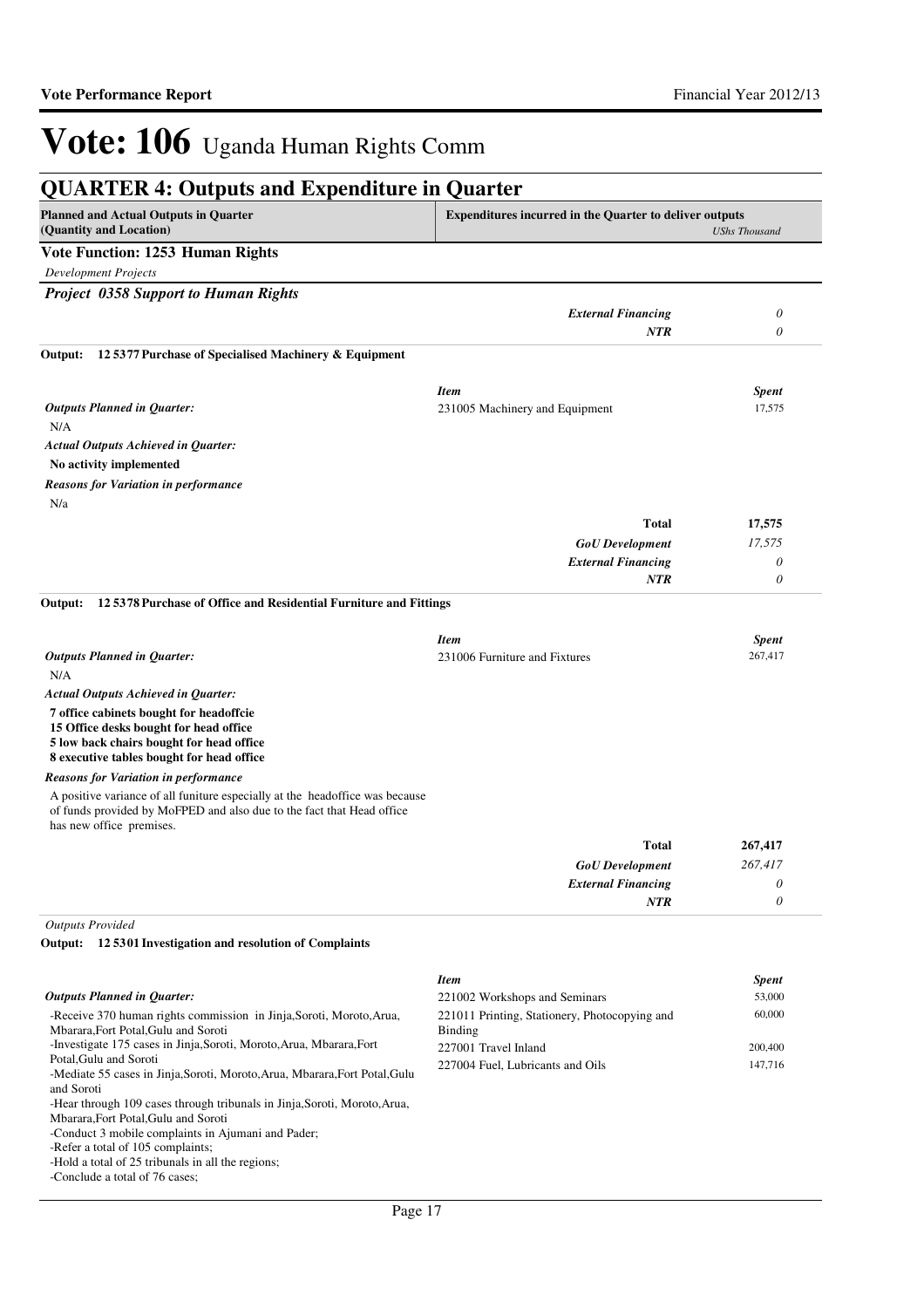| <b>QUARTER 4: Outputs and Expenditure in Quarter</b>                                                                                                                              |                                                                |                      |
|-----------------------------------------------------------------------------------------------------------------------------------------------------------------------------------|----------------------------------------------------------------|----------------------|
| <b>Planned and Actual Outputs in Quarter</b><br>(Quantity and Location)                                                                                                           | <b>Expenditures incurred in the Quarter to deliver outputs</b> | <b>UShs Thousand</b> |
| <b>Vote Function: 1253 Human Rights</b>                                                                                                                                           |                                                                |                      |
| <b>Development Projects</b>                                                                                                                                                       |                                                                |                      |
| <b>Project 0358 Support to Human Rights</b>                                                                                                                                       |                                                                |                      |
|                                                                                                                                                                                   | <b>External Financing</b>                                      | 0                    |
|                                                                                                                                                                                   | <b>NTR</b>                                                     | 0                    |
| 12 5377 Purchase of Specialised Machinery & Equipment<br>Output:                                                                                                                  |                                                                |                      |
|                                                                                                                                                                                   | <b>Item</b>                                                    | <b>Spent</b>         |
| <b>Outputs Planned in Quarter:</b>                                                                                                                                                | 231005 Machinery and Equipment                                 | 17,575               |
| N/A                                                                                                                                                                               |                                                                |                      |
| <b>Actual Outputs Achieved in Quarter:</b>                                                                                                                                        |                                                                |                      |
| No activity implemented                                                                                                                                                           |                                                                |                      |
| <b>Reasons for Variation in performance</b>                                                                                                                                       |                                                                |                      |
| N/a                                                                                                                                                                               |                                                                |                      |
|                                                                                                                                                                                   | <b>Total</b>                                                   | 17,575               |
|                                                                                                                                                                                   | <b>GoU</b> Development                                         | 17,575               |
|                                                                                                                                                                                   | <b>External Financing</b>                                      | $\theta$             |
|                                                                                                                                                                                   | <b>NTR</b>                                                     | $\theta$             |
| Output:<br>125378 Purchase of Office and Residential Furniture and Fittings                                                                                                       |                                                                |                      |
|                                                                                                                                                                                   | <b>Item</b>                                                    | <b>Spent</b>         |
| <b>Outputs Planned in Quarter:</b><br>N/A                                                                                                                                         | 231006 Furniture and Fixtures                                  | 267,417              |
| <b>Actual Outputs Achieved in Quarter:</b>                                                                                                                                        |                                                                |                      |
| 7 office cabinets bought for headoffcie<br>15 Office desks bought for head office<br>5 low back chairs bought for head office<br>8 executive tables bought for head office        |                                                                |                      |
| <b>Reasons for Variation in performance</b>                                                                                                                                       |                                                                |                      |
| A positive variance of all funiture especially at the headoffice was because<br>of funds provided by MoFPED and also due to the fact that Head office<br>has new office premises. |                                                                |                      |
|                                                                                                                                                                                   | <b>Total</b>                                                   | 267,417              |
|                                                                                                                                                                                   | <b>GoU</b> Development                                         | 267,417              |
|                                                                                                                                                                                   | <b>External Financing</b>                                      | 0                    |
|                                                                                                                                                                                   | <b>NTR</b>                                                     | 0                    |
| <b>Outputs Provided</b>                                                                                                                                                           |                                                                |                      |
| Output: 12 5301 Investigation and resolution of Complaints                                                                                                                        |                                                                |                      |
|                                                                                                                                                                                   | <b>Item</b>                                                    | <b>Spent</b>         |

|                                               | $\overline{\phantom{a}}$                    |
|-----------------------------------------------|---------------------------------------------|
| 221002 Workshops and Seminars                 | 53,000                                      |
| 221011 Printing, Stationery, Photocopying and | 60,000                                      |
|                                               |                                             |
| 227001 Travel Inland                          | 200,400                                     |
|                                               | 147,716                                     |
|                                               |                                             |
|                                               |                                             |
|                                               |                                             |
|                                               |                                             |
|                                               |                                             |
|                                               |                                             |
|                                               |                                             |
|                                               |                                             |
|                                               | Binding<br>227004 Fuel. Lubricants and Oils |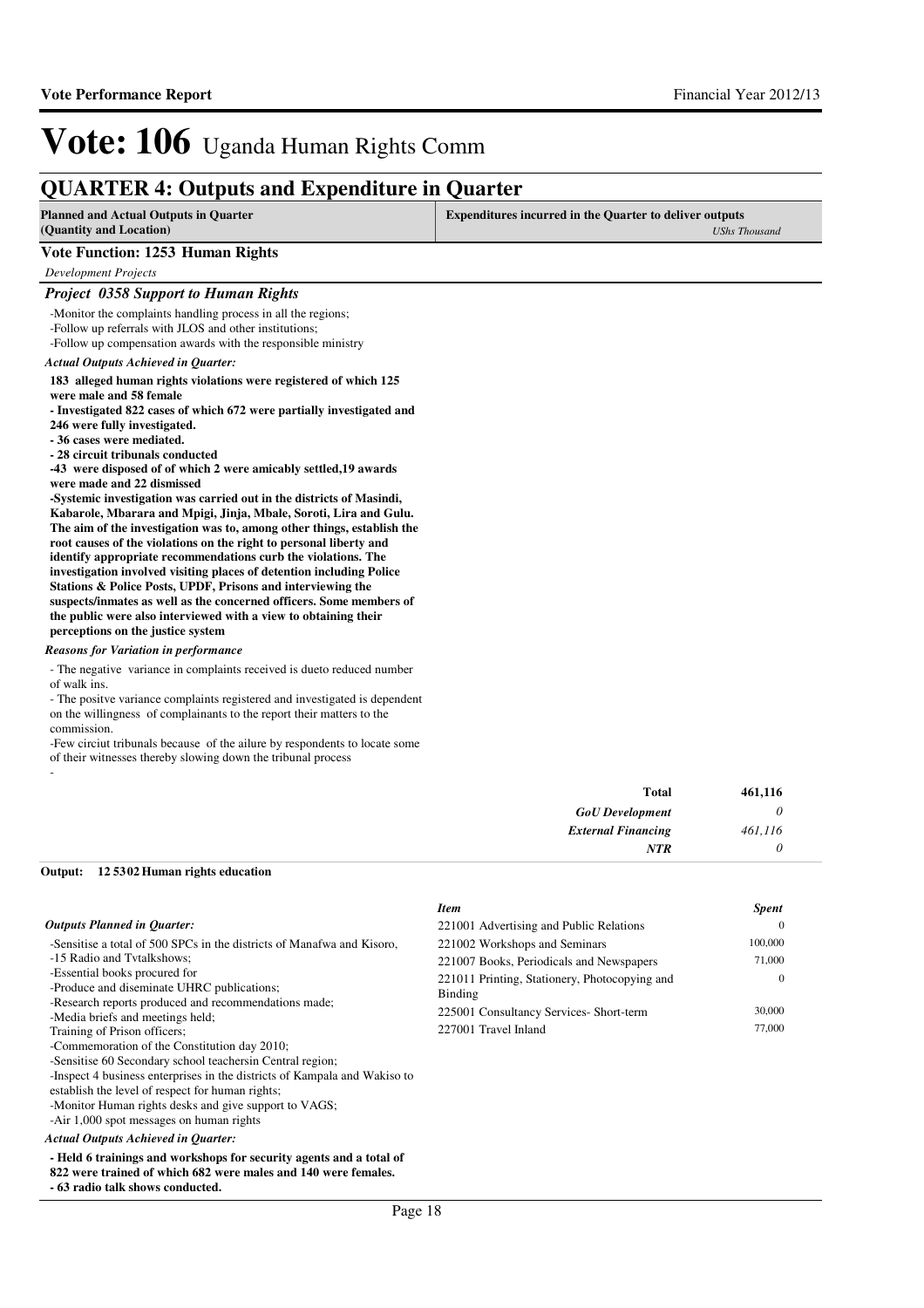*0*

*NTR*

# Vote: 106 Uganda Human Rights Comm

### **QUARTER 4: Outputs and Expenditure in Quarter**

| <b>Planned and Actual Outputs in Quarter</b><br>(Quantity and Location)                                                                                                                                                                                                                                                                                                                                                                                                                                                                                                                                                                                                                                                                                                                                                                                                                                                                                                                                                                                     | <b>Expenditures incurred in the Quarter to deliver outputs</b> | <b>UShs Thousand</b> |
|-------------------------------------------------------------------------------------------------------------------------------------------------------------------------------------------------------------------------------------------------------------------------------------------------------------------------------------------------------------------------------------------------------------------------------------------------------------------------------------------------------------------------------------------------------------------------------------------------------------------------------------------------------------------------------------------------------------------------------------------------------------------------------------------------------------------------------------------------------------------------------------------------------------------------------------------------------------------------------------------------------------------------------------------------------------|----------------------------------------------------------------|----------------------|
| <b>Vote Function: 1253 Human Rights</b>                                                                                                                                                                                                                                                                                                                                                                                                                                                                                                                                                                                                                                                                                                                                                                                                                                                                                                                                                                                                                     |                                                                |                      |
| <b>Development Projects</b>                                                                                                                                                                                                                                                                                                                                                                                                                                                                                                                                                                                                                                                                                                                                                                                                                                                                                                                                                                                                                                 |                                                                |                      |
| <b>Project 0358 Support to Human Rights</b>                                                                                                                                                                                                                                                                                                                                                                                                                                                                                                                                                                                                                                                                                                                                                                                                                                                                                                                                                                                                                 |                                                                |                      |
| -Monitor the complaints handling process in all the regions;<br>-Follow up referrals with JLOS and other institutions;<br>-Follow up compensation awards with the responsible ministry                                                                                                                                                                                                                                                                                                                                                                                                                                                                                                                                                                                                                                                                                                                                                                                                                                                                      |                                                                |                      |
| <b>Actual Outputs Achieved in Ouarter:</b>                                                                                                                                                                                                                                                                                                                                                                                                                                                                                                                                                                                                                                                                                                                                                                                                                                                                                                                                                                                                                  |                                                                |                      |
| 183 alleged human rights violations were registered of which 125<br>were male and 58 female<br>- Investigated 822 cases of which 672 were partially investigated and<br>246 were fully investigated.<br>- 36 cases were mediated.<br>- 28 circuit tribunals conducted<br>-43 were disposed of of which 2 were amicably settled, 19 awards<br>were made and 22 dismissed<br>-Systemic investigation was carried out in the districts of Masindi,<br>Kabarole, Mbarara and Mpigi, Jinja, Mbale, Soroti, Lira and Gulu.<br>The aim of the investigation was to, among other things, establish the<br>root causes of the violations on the right to personal liberty and<br>identify appropriate recommendations curb the violations. The<br>investigation involved visiting places of detention including Police<br>Stations & Police Posts, UPDF, Prisons and interviewing the<br>suspects/inmates as well as the concerned officers. Some members of<br>the public were also interviewed with a view to obtaining their<br>perceptions on the justice system |                                                                |                      |
| <b>Reasons for Variation in performance</b>                                                                                                                                                                                                                                                                                                                                                                                                                                                                                                                                                                                                                                                                                                                                                                                                                                                                                                                                                                                                                 |                                                                |                      |
| - The negative variance in complaints received is due to reduced number<br>of walk ins.<br>- The positve variance complaints registered and investigated is dependent<br>on the willingness of complainants to the report their matters to the<br>commission.<br>-Few circiut tribunals because of the ailure by respondents to locate some<br>of their witnesses thereby slowing down the tribunal process                                                                                                                                                                                                                                                                                                                                                                                                                                                                                                                                                                                                                                                 |                                                                |                      |
|                                                                                                                                                                                                                                                                                                                                                                                                                                                                                                                                                                                                                                                                                                                                                                                                                                                                                                                                                                                                                                                             | Total                                                          | 461,116              |
|                                                                                                                                                                                                                                                                                                                                                                                                                                                                                                                                                                                                                                                                                                                                                                                                                                                                                                                                                                                                                                                             | <b>GoU</b> Development                                         | 0                    |
|                                                                                                                                                                                                                                                                                                                                                                                                                                                                                                                                                                                                                                                                                                                                                                                                                                                                                                                                                                                                                                                             | <b>External Financing</b>                                      | 461,116              |

#### **12 5302 Human rights education Output:**

|                                                                                                                                                                                                                                                                                                                                                                                                                                                                                                                                                                                                                                                                     | <b>Item</b>                                                                                                                                                                                              | <b>Spent</b>                                      |
|---------------------------------------------------------------------------------------------------------------------------------------------------------------------------------------------------------------------------------------------------------------------------------------------------------------------------------------------------------------------------------------------------------------------------------------------------------------------------------------------------------------------------------------------------------------------------------------------------------------------------------------------------------------------|----------------------------------------------------------------------------------------------------------------------------------------------------------------------------------------------------------|---------------------------------------------------|
| <b>Outputs Planned in Quarter:</b>                                                                                                                                                                                                                                                                                                                                                                                                                                                                                                                                                                                                                                  | 221001 Advertising and Public Relations                                                                                                                                                                  | $\Omega$                                          |
| -Sensitise a total of 500 SPCs in the districts of Manafwa and Kisoro.<br>-15 Radio and Tytalkshows:<br>-Essential books procured for<br>-Produce and diseminate UHRC publications;<br>-Research reports produced and recommendations made;<br>-Media briefs and meetings held:<br>Training of Prison officers;<br>-Commemoration of the Constitution day 2010;<br>-Sensitise 60 Secondary school teachers in Central region;<br>-Inspect 4 business enterprises in the districts of Kampala and Wakiso to<br>establish the level of respect for human rights;<br>-Monitor Human rights desks and give support to VAGS;<br>-Air 1,000 spot messages on human rights | 221002 Workshops and Seminars<br>221007 Books, Periodicals and Newspapers<br>221011 Printing, Stationery, Photocopying and<br>Binding<br>225001 Consultancy Services- Short-term<br>227001 Travel Inland | 100,000<br>71,000<br>$\Omega$<br>30,000<br>77,000 |
| <b>Actual Outputs Achieved in Ouarter:</b>                                                                                                                                                                                                                                                                                                                                                                                                                                                                                                                                                                                                                          |                                                                                                                                                                                                          |                                                   |

#### **- Held 6 trainings and workshops for security agents and a total of**

### **822 were trained of which 682 were males and 140 were females.**

### **- 63 radio talk shows conducted.**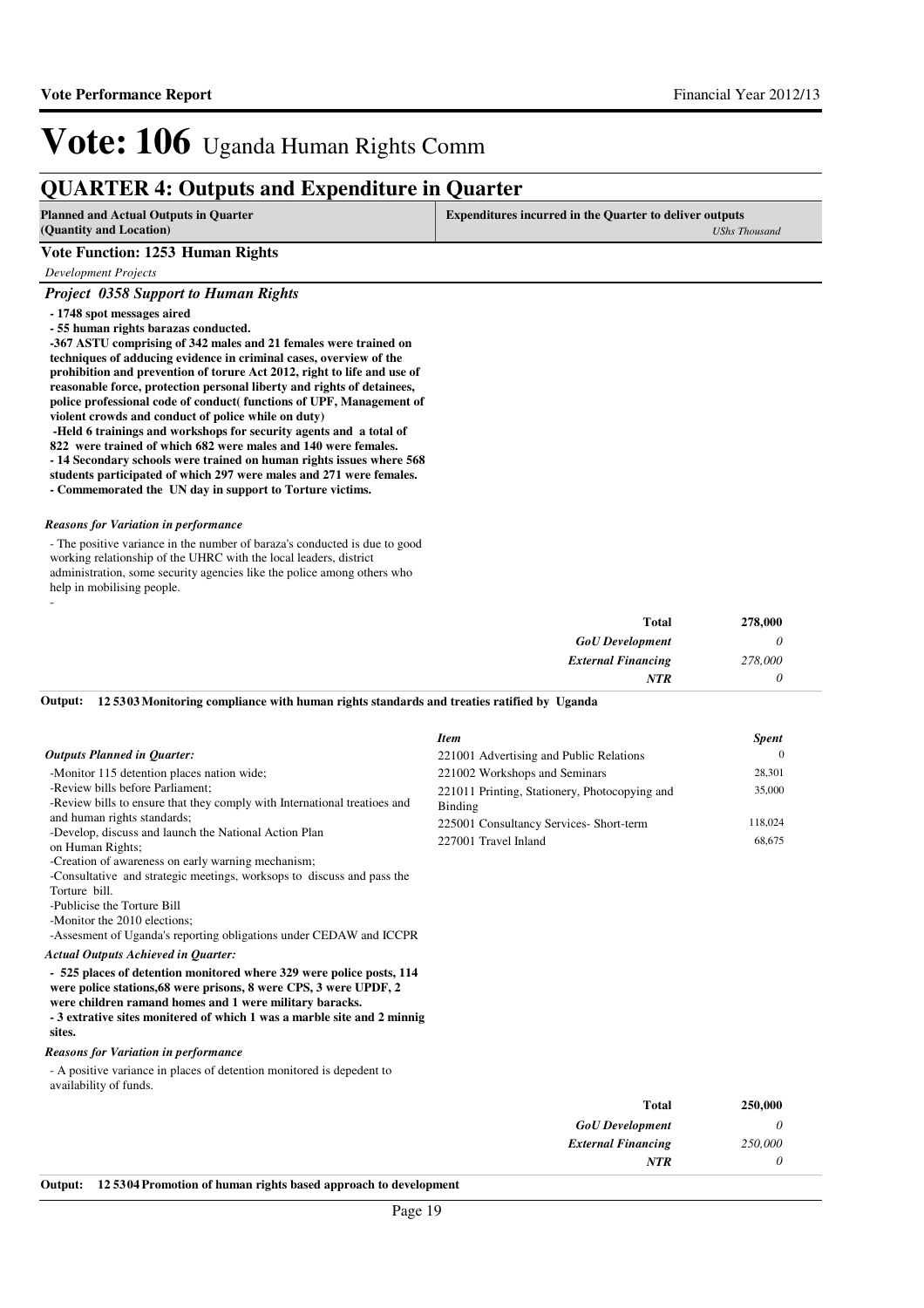## **QUARTER 4: Outputs and Expenditure in Quarter**

| <b>Planned and Actual Outputs in Quarter</b><br>(Quantity and Location)                                                                                                                                                                                                                                                                                                                                                                                                                                                                                                                                                                                                                                                                                                                                                                             | <b>Expenditures incurred in the Quarter to deliver outputs</b>           | <b>UShs Thousand</b>       |
|-----------------------------------------------------------------------------------------------------------------------------------------------------------------------------------------------------------------------------------------------------------------------------------------------------------------------------------------------------------------------------------------------------------------------------------------------------------------------------------------------------------------------------------------------------------------------------------------------------------------------------------------------------------------------------------------------------------------------------------------------------------------------------------------------------------------------------------------------------|--------------------------------------------------------------------------|----------------------------|
| <b>Vote Function: 1253 Human Rights</b>                                                                                                                                                                                                                                                                                                                                                                                                                                                                                                                                                                                                                                                                                                                                                                                                             |                                                                          |                            |
| Development Projects                                                                                                                                                                                                                                                                                                                                                                                                                                                                                                                                                                                                                                                                                                                                                                                                                                |                                                                          |                            |
| <b>Project 0358 Support to Human Rights</b>                                                                                                                                                                                                                                                                                                                                                                                                                                                                                                                                                                                                                                                                                                                                                                                                         |                                                                          |                            |
| - 1748 spot messages aired<br>- 55 human rights barazas conducted.<br>-367 ASTU comprising of 342 males and 21 females were trained on<br>techniques of adducing evidence in criminal cases, overview of the<br>prohibition and prevention of torure Act 2012, right to life and use of<br>reasonable force, protection personal liberty and rights of detainees,<br>police professional code of conduct( functions of UPF, Management of<br>violent crowds and conduct of police while on duty)<br>-Held 6 trainings and workshops for security agents and a total of<br>822 were trained of which 682 were males and 140 were females.<br>- 14 Secondary schools were trained on human rights issues where 568<br>students participated of which 297 were males and 271 were females.<br>- Commemorated the UN day in support to Torture victims. |                                                                          |                            |
| <b>Reasons for Variation in performance</b>                                                                                                                                                                                                                                                                                                                                                                                                                                                                                                                                                                                                                                                                                                                                                                                                         |                                                                          |                            |
| - The positive variance in the number of baraza's conducted is due to good<br>working relationship of the UHRC with the local leaders, district<br>administration, some security agencies like the police among others who<br>help in mobilising people.                                                                                                                                                                                                                                                                                                                                                                                                                                                                                                                                                                                            |                                                                          |                            |
|                                                                                                                                                                                                                                                                                                                                                                                                                                                                                                                                                                                                                                                                                                                                                                                                                                                     | <b>Total</b>                                                             | 278,000                    |
|                                                                                                                                                                                                                                                                                                                                                                                                                                                                                                                                                                                                                                                                                                                                                                                                                                                     | <b>GoU</b> Development                                                   | 0                          |
|                                                                                                                                                                                                                                                                                                                                                                                                                                                                                                                                                                                                                                                                                                                                                                                                                                                     | <b>External Financing</b>                                                | 278,000                    |
|                                                                                                                                                                                                                                                                                                                                                                                                                                                                                                                                                                                                                                                                                                                                                                                                                                                     | NTR                                                                      | 0                          |
| Output:<br>125303 Monitoring compliance with human rights standards and treaties ratified by Uganda                                                                                                                                                                                                                                                                                                                                                                                                                                                                                                                                                                                                                                                                                                                                                 |                                                                          |                            |
|                                                                                                                                                                                                                                                                                                                                                                                                                                                                                                                                                                                                                                                                                                                                                                                                                                                     |                                                                          |                            |
|                                                                                                                                                                                                                                                                                                                                                                                                                                                                                                                                                                                                                                                                                                                                                                                                                                                     | <b>Item</b>                                                              | Spent                      |
| <b>Outputs Planned in Quarter:</b><br>-Monitor 115 detention places nation wide;                                                                                                                                                                                                                                                                                                                                                                                                                                                                                                                                                                                                                                                                                                                                                                    | 221001 Advertising and Public Relations<br>221002 Workshops and Seminars | $\boldsymbol{0}$<br>28,301 |
| -Review bills before Parliament;                                                                                                                                                                                                                                                                                                                                                                                                                                                                                                                                                                                                                                                                                                                                                                                                                    | 221011 Printing, Stationery, Photocopying and                            | 35,000                     |
| -Review bills to ensure that they comply with International treatioes and                                                                                                                                                                                                                                                                                                                                                                                                                                                                                                                                                                                                                                                                                                                                                                           | <b>Binding</b>                                                           |                            |
| and human rights standards;                                                                                                                                                                                                                                                                                                                                                                                                                                                                                                                                                                                                                                                                                                                                                                                                                         | 225001 Consultancy Services- Short-term                                  | 118,024                    |
| -Develop, discuss and launch the National Action Plan<br>on Human Rights;                                                                                                                                                                                                                                                                                                                                                                                                                                                                                                                                                                                                                                                                                                                                                                           | 227001 Travel Inland                                                     | 68,675                     |
| -Creation of awareness on early warning mechanism;<br>-Consultative and strategic meetings, worksops to discuss and pass the<br>Torture bill.<br>-Publicise the Torture Bill                                                                                                                                                                                                                                                                                                                                                                                                                                                                                                                                                                                                                                                                        |                                                                          |                            |
| -Monitor the 2010 elections;<br>-Assesment of Uganda's reporting obligations under CEDAW and ICCPR                                                                                                                                                                                                                                                                                                                                                                                                                                                                                                                                                                                                                                                                                                                                                  |                                                                          |                            |
| Actual Outputs Achieved in Quarter:                                                                                                                                                                                                                                                                                                                                                                                                                                                                                                                                                                                                                                                                                                                                                                                                                 |                                                                          |                            |
| - 525 places of detention monitored where 329 were police posts, 114<br>were police stations, 68 were prisons, 8 were CPS, 3 were UPDF, 2<br>were children ramand homes and 1 were military baracks.<br>- 3 extrative sites monitered of which 1 was a marble site and 2 minnig<br>sites.                                                                                                                                                                                                                                                                                                                                                                                                                                                                                                                                                           |                                                                          |                            |
| Reasons for Variation in performance                                                                                                                                                                                                                                                                                                                                                                                                                                                                                                                                                                                                                                                                                                                                                                                                                |                                                                          |                            |
| - A positive variance in places of detention monitored is depedent to<br>availability of funds.                                                                                                                                                                                                                                                                                                                                                                                                                                                                                                                                                                                                                                                                                                                                                     |                                                                          |                            |
|                                                                                                                                                                                                                                                                                                                                                                                                                                                                                                                                                                                                                                                                                                                                                                                                                                                     | <b>Total</b>                                                             | 250,000                    |
|                                                                                                                                                                                                                                                                                                                                                                                                                                                                                                                                                                                                                                                                                                                                                                                                                                                     | <b>GoU</b> Development                                                   | 0                          |
|                                                                                                                                                                                                                                                                                                                                                                                                                                                                                                                                                                                                                                                                                                                                                                                                                                                     | <b>External Financing</b>                                                | 250,000                    |
|                                                                                                                                                                                                                                                                                                                                                                                                                                                                                                                                                                                                                                                                                                                                                                                                                                                     | <b>NTR</b>                                                               | 0                          |

**Output: 12 5304 Promotion of human rights based approach to development**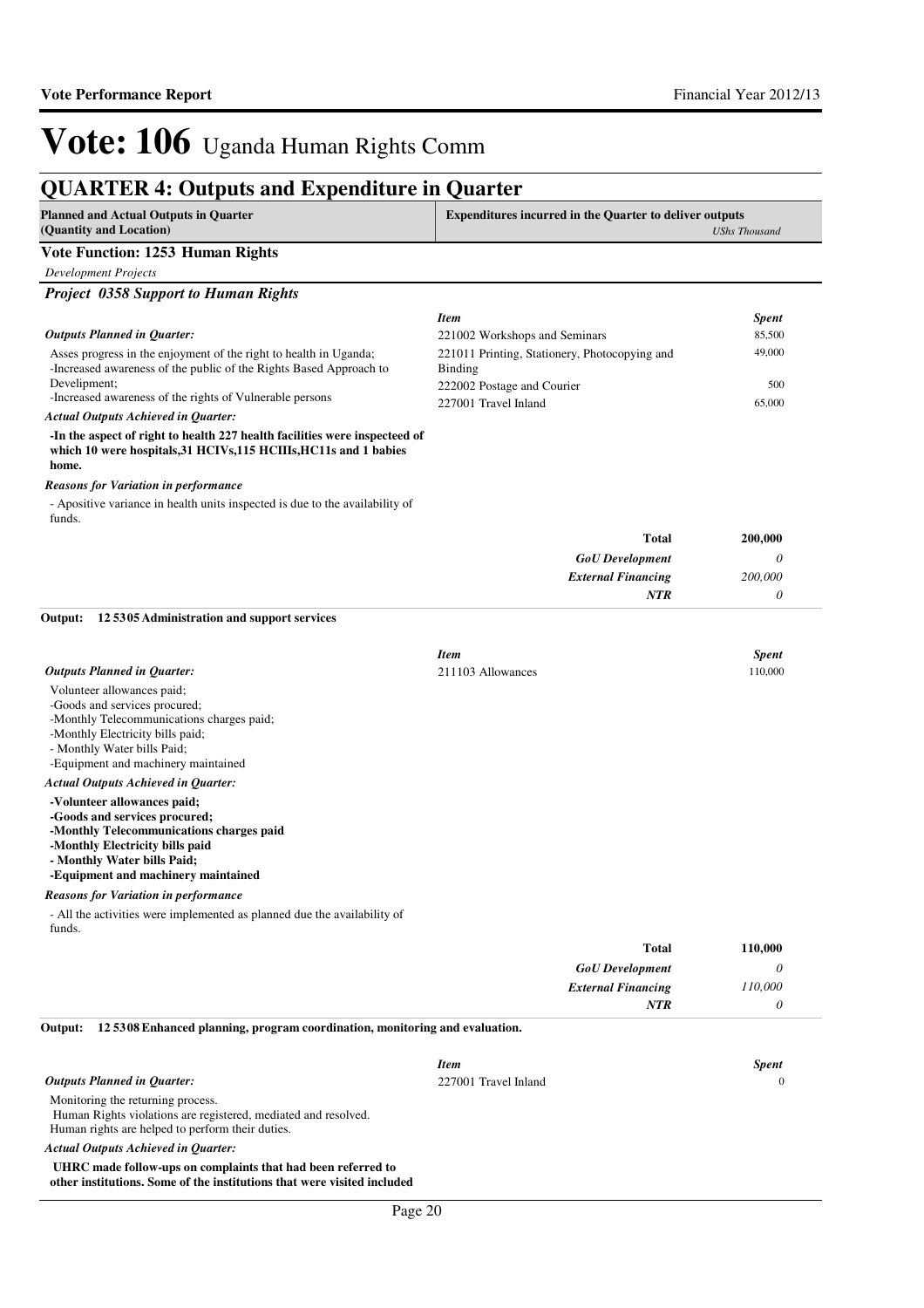### **QUARTER 4: Outputs and Expenditure in Quarter**

| <b>Planned and Actual Outputs in Quarter</b><br>(Quantity and Location)                                                                                  | <b>Expenditures incurred in the Quarter to deliver outputs</b><br><b>UShs Thousand</b> |               |
|----------------------------------------------------------------------------------------------------------------------------------------------------------|----------------------------------------------------------------------------------------|---------------|
| <b>Vote Function: 1253 Human Rights</b>                                                                                                                  |                                                                                        |               |
| <b>Development Projects</b>                                                                                                                              |                                                                                        |               |
| <b>Project 0358 Support to Human Rights</b>                                                                                                              |                                                                                        |               |
|                                                                                                                                                          | <b>Item</b>                                                                            | Spent         |
| <b>Outputs Planned in Quarter:</b>                                                                                                                       | 221002 Workshops and Seminars                                                          | 85,500        |
| Asses progress in the enjoyment of the right to health in Uganda;                                                                                        | 221011 Printing, Stationery, Photocopying and                                          | 49,000        |
| -Increased awareness of the public of the Rights Based Approach to<br>Develipment;                                                                       | <b>Binding</b>                                                                         |               |
| -Increased awareness of the rights of Vulnerable persons                                                                                                 | 222002 Postage and Courier<br>227001 Travel Inland                                     | 500<br>65,000 |
| <b>Actual Outputs Achieved in Quarter:</b>                                                                                                               |                                                                                        |               |
| -In the aspect of right to health 227 health facilities were inspecteed of<br>which 10 were hospitals, 31 HCIVs, 115 HCIIIs, HC11s and 1 babies<br>home. |                                                                                        |               |
| <b>Reasons for Variation in performance</b>                                                                                                              |                                                                                        |               |
| - Apositive variance in health units inspected is due to the availability of<br>funds.                                                                   |                                                                                        |               |
|                                                                                                                                                          | <b>Total</b>                                                                           | 200,000       |
|                                                                                                                                                          | <b>GoU</b> Development                                                                 | 0             |
|                                                                                                                                                          | <b>External Financing</b>                                                              | 200,000       |
|                                                                                                                                                          | NTR                                                                                    | 0             |
| 125305 Administration and support services<br>Output:                                                                                                    |                                                                                        |               |
|                                                                                                                                                          | <b>Item</b>                                                                            | <b>Spent</b>  |
| <b>Outputs Planned in Quarter:</b>                                                                                                                       | 211103 Allowances                                                                      | 110,000       |
| Volunteer allowances paid;                                                                                                                               |                                                                                        |               |
| -Goods and services procured;                                                                                                                            |                                                                                        |               |
| -Monthly Telecommunications charges paid;<br>-Monthly Electricity bills paid;                                                                            |                                                                                        |               |
| - Monthly Water bills Paid;                                                                                                                              |                                                                                        |               |
| -Equipment and machinery maintained                                                                                                                      |                                                                                        |               |
| Actual Outputs Achieved in Quarter:                                                                                                                      |                                                                                        |               |
| -Volunteer allowances paid;<br>-Goods and services procured;                                                                                             |                                                                                        |               |
| -Monthly Telecommunications charges paid                                                                                                                 |                                                                                        |               |
| -Monthly Electricity bills paid<br>- Monthly Water bills Paid;                                                                                           |                                                                                        |               |
| -Equipment and machinery maintained                                                                                                                      |                                                                                        |               |
| <b>Reasons for Variation in performance</b>                                                                                                              |                                                                                        |               |
| - All the activities were implemented as planned due the availability of                                                                                 |                                                                                        |               |
| funds.                                                                                                                                                   |                                                                                        |               |
|                                                                                                                                                          | <b>Total</b><br><b>GoU</b> Development                                                 | 110,000<br>0  |
|                                                                                                                                                          | <b>External Financing</b>                                                              | 110,000       |
|                                                                                                                                                          | NTR                                                                                    | 0             |
| Output:<br>125308 Enhanced planning, program coordination, monitoring and evaluation.                                                                    |                                                                                        |               |
|                                                                                                                                                          | <b>Item</b>                                                                            | <b>Spent</b>  |
| <b>Outputs Planned in Quarter:</b>                                                                                                                       | 227001 Travel Inland                                                                   | $\bf{0}$      |
| Monitoring the returning process.                                                                                                                        |                                                                                        |               |
| Human Rights violations are registered, mediated and resolved.<br>Human rights are helped to perform their duties.                                       |                                                                                        |               |
| <b>Actual Outputs Achieved in Quarter:</b>                                                                                                               |                                                                                        |               |
| UHRC made follow-ups on complaints that had been referred to                                                                                             |                                                                                        |               |

**other institutions. Some of the institutions that were visited included**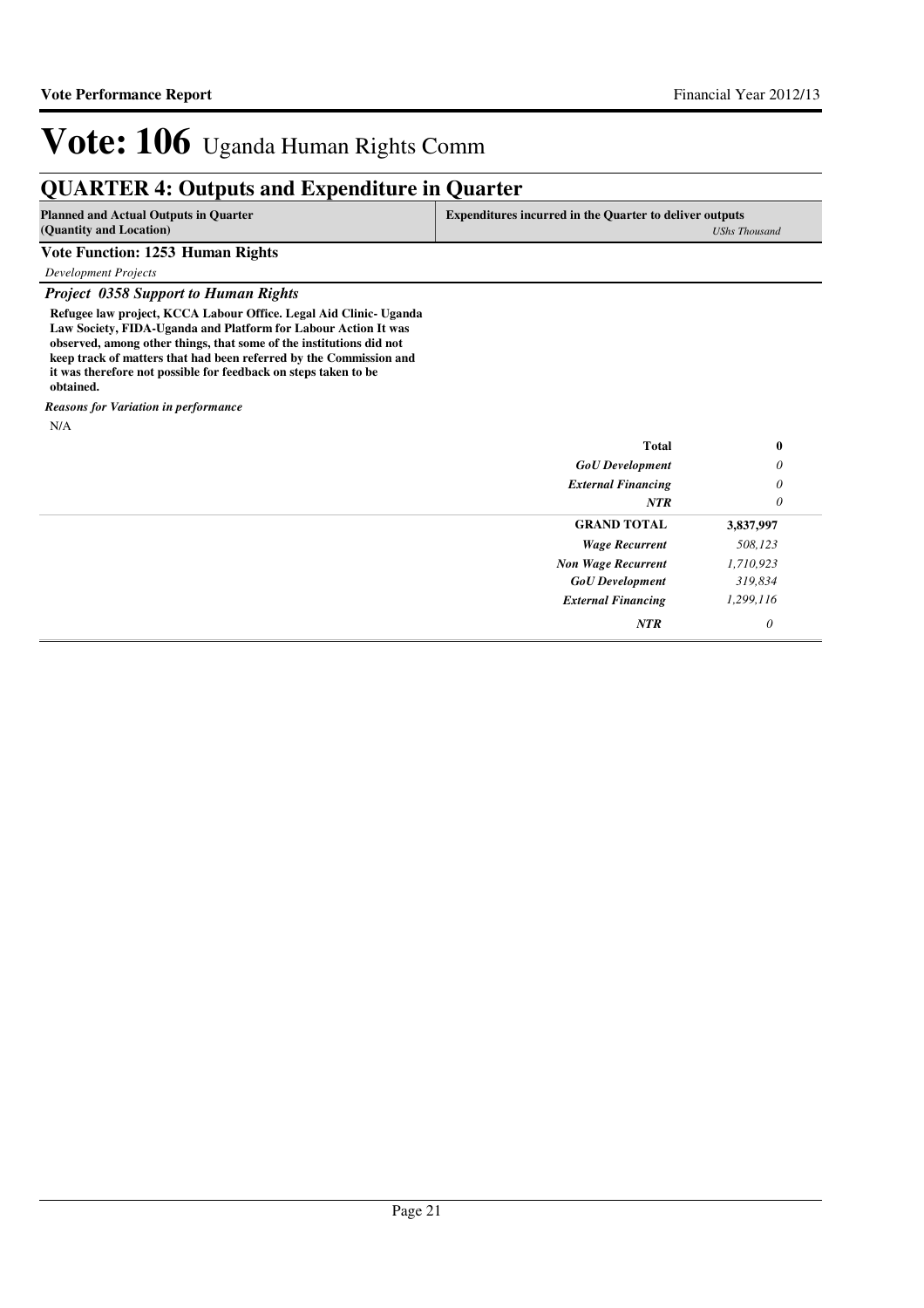## **QUARTER 4: Outputs and Expenditure in Quarter**

| <b>Planned and Actual Outputs in Quarter</b><br>(Quantity and Location) | <b>Expenditures incurred in the Quarter to deliver outputs</b> |
|-------------------------------------------------------------------------|----------------------------------------------------------------|
|                                                                         | <b>UShs Thousand</b>                                           |
| Vote Function: 1253 Human Rights                                        |                                                                |
| <b>Development Projects</b>                                             |                                                                |
| <b>Project 0358 Support to Human Rights</b>                             |                                                                |
| Refugee law project, KCCA Labour Office. Legal Aid Clinic- Uganda       |                                                                |
| Law Society, FIDA-Uganda and Platform for Labour Action It was          |                                                                |
| observed, among other things, that some of the institutions did not     |                                                                |
| keep track of matters that had been referred by the Commission and      |                                                                |
| it was therefore not possible for feedback on steps taken to be         |                                                                |

**obtained.** *Reasons for Variation in performance*

N/A

| Total                     | $\bf{0}$  |
|---------------------------|-----------|
| <b>GoU</b> Development    | 0         |
| <b>External Financing</b> | $\theta$  |
| <b>NTR</b>                | 0         |
| <b>GRAND TOTAL</b>        | 3,837,997 |
| <b>Wage Recurrent</b>     | 508,123   |
| <b>Non Wage Recurrent</b> | 1,710,923 |
| <b>GoU</b> Development    | 319,834   |
| <b>External Financing</b> | 1,299,116 |
| NTR                       | $\theta$  |